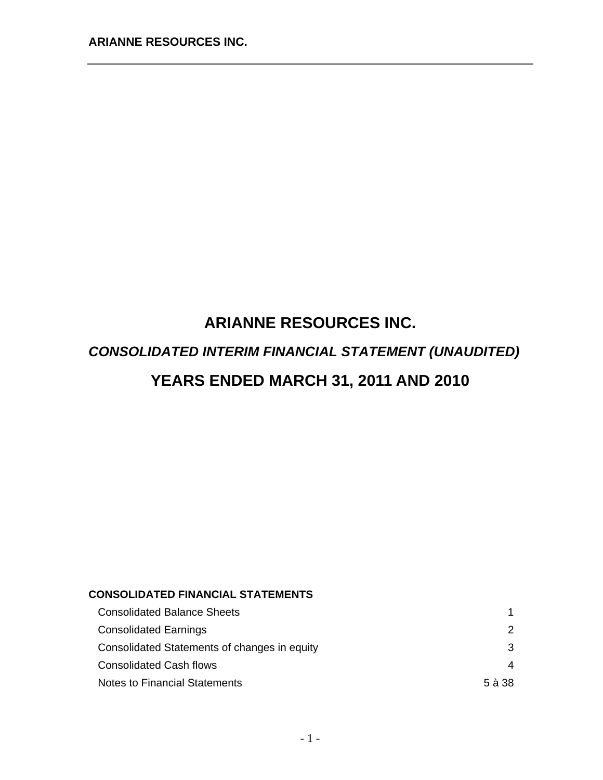# **ARIANNE RESOURCES INC.**  *CONSOLIDATED INTERIM FINANCIAL STATEMENT (UNAUDITED)*  **YEARS ENDED MARCH 31, 2011 AND 2010**

## **CONSOLIDATED FINANCIAL STATEMENTS**

| <b>Consolidated Balance Sheets</b>           |          |
|----------------------------------------------|----------|
| <b>Consolidated Earnings</b>                 | 2        |
| Consolidated Statements of changes in equity | 3        |
| <b>Consolidated Cash flows</b>               | 4        |
| Notes to Financial Statements                | $5$ à 38 |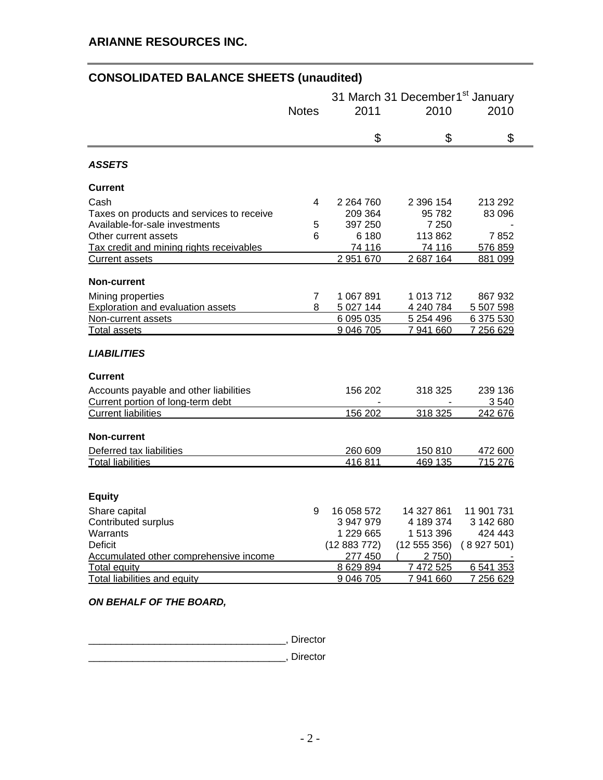## **CONSOLIDATED BALANCE SHEETS (unaudited)**

|                                           |              | 31 March 31 December1 <sup>st</sup> January |              |            |  |
|-------------------------------------------|--------------|---------------------------------------------|--------------|------------|--|
|                                           | <b>Notes</b> | 2011                                        | 2010         | 2010       |  |
|                                           |              |                                             |              |            |  |
|                                           |              | \$                                          | \$           | \$         |  |
| <b>ASSETS</b>                             |              |                                             |              |            |  |
| <b>Current</b>                            |              |                                             |              |            |  |
| Cash                                      | 4            | 2 2 64 7 60                                 | 2 396 154    | 213 292    |  |
| Taxes on products and services to receive |              | 209 364                                     | 95 782       | 83 096     |  |
| Available-for-sale investments            | 5            | 397 250                                     | 7 250        |            |  |
| Other current assets                      | 6            | 6 180                                       | 113 862      | 7852       |  |
| Tax credit and mining rights receivables  |              | 74 116                                      | 74 116       | 576 859    |  |
| <b>Current assets</b>                     |              | 2 951 670                                   | 2 687 164    | 881 099    |  |
| <b>Non-current</b>                        |              |                                             |              |            |  |
| Mining properties                         | 7            | 1 067 891                                   | 1 013 712    | 867932     |  |
| <b>Exploration and evaluation assets</b>  | 8            | 5 027 144                                   | 4 240 784    | 5 507 598  |  |
| Non-current assets                        |              | 6 095 035                                   | 5 254 496    | 6 375 530  |  |
| <b>Total assets</b>                       |              | 9 046 705                                   | 7941660      | 7 256 629  |  |
| <b>LIABILITIES</b>                        |              |                                             |              |            |  |
| <b>Current</b>                            |              |                                             |              |            |  |
| Accounts payable and other liabilities    |              | 156 202                                     | 318 325      | 239 136    |  |
| Current portion of long-term debt         |              |                                             |              | 3540       |  |
| <b>Current liabilities</b>                |              | 156 202                                     | 318 325      | 242 676    |  |
| <b>Non-current</b>                        |              |                                             |              |            |  |
| Deferred tax liabilities                  |              | 260 609                                     | 150 810      | 472 600    |  |
| <b>Total liabilities</b>                  |              | 416811                                      | 469 135      | 715 276    |  |
|                                           |              |                                             |              |            |  |
| <b>Equity</b>                             |              |                                             |              |            |  |
| Share capital                             | 9            | 16 058 572                                  | 14 327 861   | 11 901 731 |  |
| Contributed surplus                       |              | 3 947 979                                   | 4 189 374    | 3 142 680  |  |
| Warrants                                  |              | 1 229 665                                   | 1 513 396    | 424 443    |  |
| <b>Deficit</b>                            |              | (12883772)                                  | (12 555 356) | (8927501)  |  |
| Accumulated other comprehensive income    |              | 277 450                                     | 2 750)       |            |  |
| Total equity                              |              | 8 629 894                                   | 7 472 525    | 6 541 353  |  |
| <b>Total liabilities and equity</b>       |              | 9 046 705                                   | 7 941 660    | 7 256 629  |  |

*ON BEHALF OF THE BOARD,* 

\_\_\_\_\_\_\_\_\_\_\_\_\_\_\_\_\_\_\_\_\_\_\_\_\_\_\_\_\_\_\_\_\_\_\_\_, Director

\_\_\_\_\_\_\_\_\_\_\_\_\_\_\_\_\_\_\_\_\_\_\_\_\_\_\_\_\_\_\_\_\_\_\_\_, Director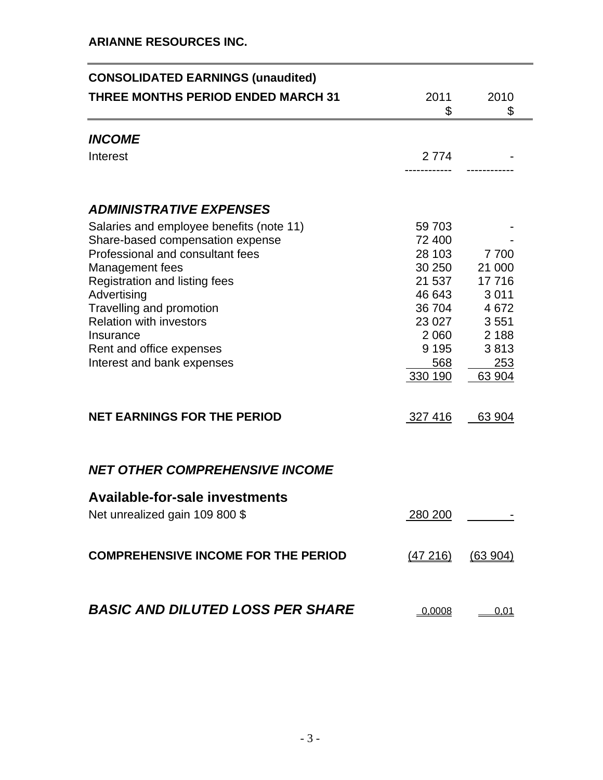## **ARIANNE RESOURCES INC.**

| <b>CONSOLIDATED EARNINGS (unaudited)</b>                                                                                                                                                                                                                                                                                 |                                                                                                                      |                                                                                      |
|--------------------------------------------------------------------------------------------------------------------------------------------------------------------------------------------------------------------------------------------------------------------------------------------------------------------------|----------------------------------------------------------------------------------------------------------------------|--------------------------------------------------------------------------------------|
| <b>THREE MONTHS PERIOD ENDED MARCH 31</b>                                                                                                                                                                                                                                                                                | 2011<br>\$                                                                                                           | 2010<br>\$                                                                           |
| <b>INCOME</b>                                                                                                                                                                                                                                                                                                            |                                                                                                                      |                                                                                      |
| Interest                                                                                                                                                                                                                                                                                                                 | 2 7 7 4                                                                                                              |                                                                                      |
| <b>ADMINISTRATIVE EXPENSES</b>                                                                                                                                                                                                                                                                                           |                                                                                                                      |                                                                                      |
| Salaries and employee benefits (note 11)<br>Share-based compensation expense<br>Professional and consultant fees<br>Management fees<br>Registration and listing fees<br>Advertising<br>Travelling and promotion<br><b>Relation with investors</b><br>Insurance<br>Rent and office expenses<br>Interest and bank expenses | 59 703<br>72 400<br>28 103<br>30 250<br>21 537<br>46 643<br>36 704<br>23 027<br>2 0 6 0<br>9 1 9 5<br>568<br>330 190 | 7700<br>21 000<br>17 716<br>3011<br>4672<br>3551<br>2 1 8 8<br>3813<br>253<br>63 904 |
| <b>NET EARNINGS FOR THE PERIOD</b>                                                                                                                                                                                                                                                                                       | 327 416                                                                                                              | 63 904                                                                               |
| <b>NET OTHER COMPREHENSIVE INCOME</b>                                                                                                                                                                                                                                                                                    |                                                                                                                      |                                                                                      |
| <b>Available-for-sale investments</b><br>Net unrealized gain 109 800 \$                                                                                                                                                                                                                                                  | <u>280 200</u>                                                                                                       |                                                                                      |
| <b>COMPREHENSIVE INCOME FOR THE PERIOD</b>                                                                                                                                                                                                                                                                               | (47216)                                                                                                              | (63904)                                                                              |
| <b>BASIC AND DILUTED LOSS PER SHARE</b>                                                                                                                                                                                                                                                                                  | 0,0008                                                                                                               | 0,01                                                                                 |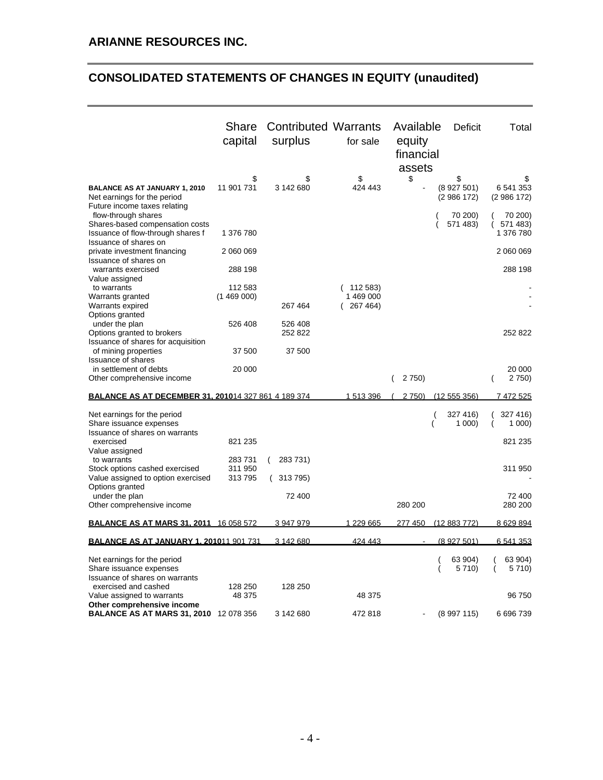## **CONSOLIDATED STATEMENTS OF CHANGES IN EQUITY (unaudited)**

|                                                                                                     | Share<br>capital            | <b>Contributed Warrants</b><br>surplus | for sale                        | Available<br>equity<br>financial | <b>Deficit</b>               | Total                            |
|-----------------------------------------------------------------------------------------------------|-----------------------------|----------------------------------------|---------------------------------|----------------------------------|------------------------------|----------------------------------|
| <b>BALANCE AS AT JANUARY 1, 2010</b><br>Net earnings for the period<br>Future income taxes relating | \$<br>11 901 731            | \$<br>3 142 680                        | \$<br>424 443                   | assets<br>\$                     | \$<br>(8927501)<br>(2986172) | S<br>6 541 353<br>(2986172)      |
| flow-through shares<br>Shares-based compensation costs<br>Issuance of flow-through shares f         | 1 376 780                   |                                        |                                 |                                  | 70 200)<br>571 483)          | 70 200)<br>571 483)<br>1 376 780 |
| Issuance of shares on<br>private investment financing                                               | 2 060 069                   |                                        |                                 |                                  |                              | 2 060 069                        |
| Issuance of shares on<br>warrants exercised                                                         | 288 198                     |                                        |                                 |                                  |                              | 288 198                          |
| Value assigned<br>to warrants<br>Warrants granted<br>Warrants expired                               | 112 583<br>(1469000)        | 267 464                                | 112 583)<br>1469000<br>(267464) |                                  |                              |                                  |
| Options granted<br>under the plan<br>Options granted to brokers                                     | 526 408                     | 526 408<br>252 822                     |                                 |                                  |                              | 252 822                          |
| Issuance of shares for acquisition<br>of mining properties                                          | 37 500                      | 37 500                                 |                                 |                                  |                              |                                  |
| <b>Issuance of shares</b><br>in settlement of debts<br>Other comprehensive income                   | 20 000                      |                                        |                                 | 2 7 5 0)                         |                              | 20 000<br>2 7 5 0)               |
| <b>BALANCE AS AT DECEMBER 31. 201014 327 861 4 189 374</b>                                          |                             |                                        | 1513396                         | 2 750)                           | (12555356)                   | 7 472 525                        |
| Net earnings for the period<br>Share issuance expenses<br>Issuance of shares on warrants            |                             |                                        |                                 |                                  | 327 416)<br>1000             | 327 416)<br>1000                 |
| exercised<br>Value assigned                                                                         | 821 235                     |                                        |                                 |                                  |                              | 821 235                          |
| to warrants<br>Stock options cashed exercised<br>Value assigned to option exercised                 | 283731<br>311 950<br>313795 | 283731)<br>(<br>313795)                |                                 |                                  |                              | 311 950                          |
| Options granted<br>under the plan<br>Other comprehensive income                                     |                             | 72 400                                 |                                 | 280 200                          |                              | 72 400<br>280 200                |
| <b>BALANCE AS AT MARS 31. 2011 16 058 572</b>                                                       |                             | 3 947 979                              | 1 229 665                       | 277 450                          | (12883772)                   | 8 629 894                        |
| <b>BALANCE AS AT JANUARY 1. 201011 901 731</b>                                                      |                             | 3 142 680                              | 424 443                         |                                  | (8 927 501)                  | 6 541 353                        |
| Net earnings for the period<br>Share issuance expenses<br>Issuance of shares on warrants            |                             |                                        |                                 |                                  | 63 904)<br>5 7 1 0 )         | 63 904)<br>5710)                 |
| exercised and cashed<br>Value assigned to warrants                                                  | 128 250<br>48 375           | 128 250                                | 48 375                          |                                  |                              | 96 750                           |
| Other comprehensive income<br><b>BALANCE AS AT MARS 31, 2010 12 078 356</b>                         |                             | 3 142 680                              | 472818                          |                                  | (8997115)                    | 6 696 739                        |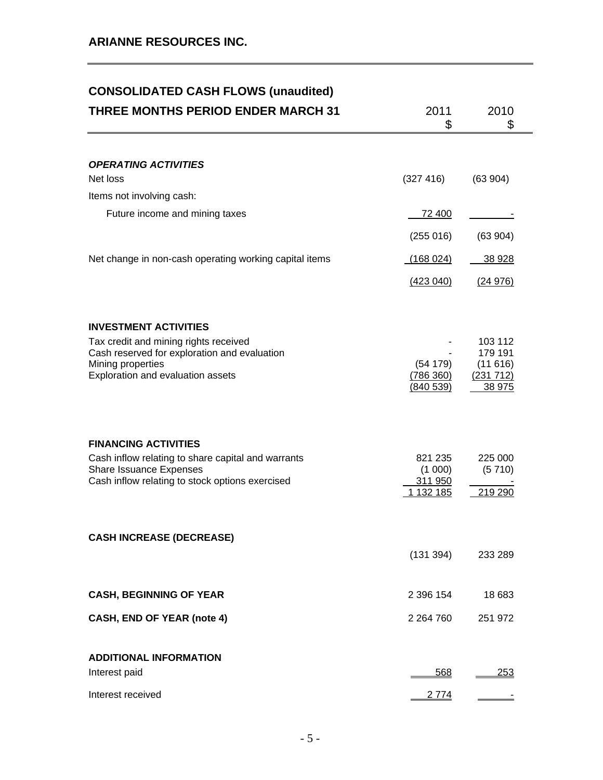## **CONSOLIDATED CASH FLOWS (unaudited)**

| <b>THREE MONTHS PERIOD ENDER MARCH 31</b>                                                                                                                       | 2011<br>\$                                 | 2010<br>\$                                           |
|-----------------------------------------------------------------------------------------------------------------------------------------------------------------|--------------------------------------------|------------------------------------------------------|
|                                                                                                                                                                 |                                            |                                                      |
| <b>OPERATING ACTIVITIES</b><br>Net loss                                                                                                                         | (327 416)                                  | (63904)                                              |
| Items not involving cash:                                                                                                                                       |                                            |                                                      |
| Future income and mining taxes                                                                                                                                  | 72 400                                     |                                                      |
|                                                                                                                                                                 | (255016)                                   | (63904)                                              |
| Net change in non-cash operating working capital items                                                                                                          | (168024)                                   | 38 928                                               |
|                                                                                                                                                                 | (423040)                                   | (24976)                                              |
| <b>INVESTMENT ACTIVITIES</b>                                                                                                                                    |                                            |                                                      |
| Tax credit and mining rights received<br>Cash reserved for exploration and evaluation<br>Mining properties<br>Exploration and evaluation assets                 | (54179)<br>(786 360)<br>(840539)           | 103 112<br>179 191<br>(11616)<br>(231 712)<br>38 975 |
| <b>FINANCING ACTIVITIES</b><br>Cash inflow relating to share capital and warrants<br>Share Issuance Expenses<br>Cash inflow relating to stock options exercised | 821 235<br>(1 000)<br>311 950<br>1 132 185 | 225 000<br>(5710)<br>219 290                         |
| <b>CASH INCREASE (DECREASE)</b>                                                                                                                                 | (131 394)                                  | 233 289                                              |
| <b>CASH, BEGINNING OF YEAR</b>                                                                                                                                  | 2 396 154                                  | 18 683                                               |
| <b>CASH, END OF YEAR (note 4)</b>                                                                                                                               | 2 2 64 7 60                                | 251 972                                              |
| <b>ADDITIONAL INFORMATION</b>                                                                                                                                   |                                            |                                                      |
| Interest paid                                                                                                                                                   | 568                                        | <u> 253</u>                                          |
| Interest received                                                                                                                                               | 2 7 7 4                                    |                                                      |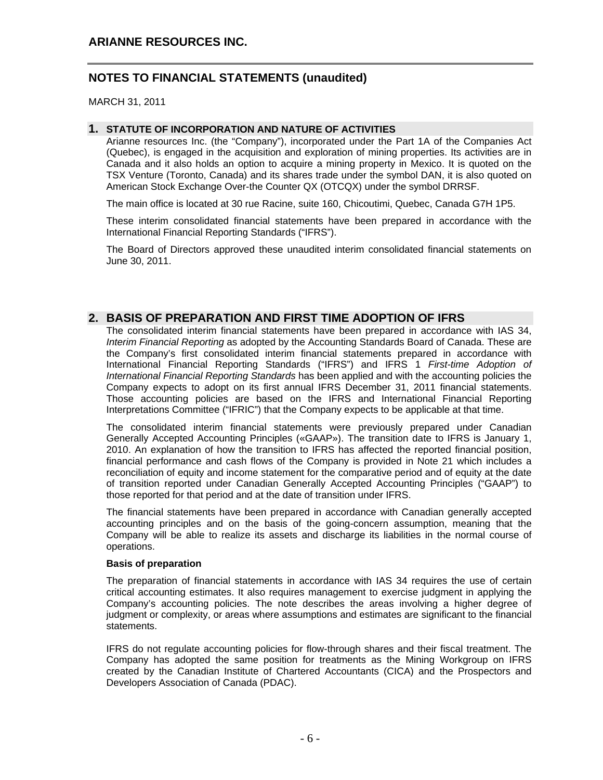MARCH 31, 2011

#### **1. STATUTE OF INCORPORATION AND NATURE OF ACTIVITIES**

Arianne resources Inc. (the "Company"), incorporated under the Part 1A of the Companies Act (Quebec), is engaged in the acquisition and exploration of mining properties. Its activities are in Canada and it also holds an option to acquire a mining property in Mexico. It is quoted on the TSX Venture (Toronto, Canada) and its shares trade under the symbol DAN, it is also quoted on American Stock Exchange Over-the Counter QX (OTCQX) under the symbol DRRSF.

The main office is located at 30 rue Racine, suite 160, Chicoutimi, Quebec, Canada G7H 1P5.

These interim consolidated financial statements have been prepared in accordance with the International Financial Reporting Standards ("IFRS").

The Board of Directors approved these unaudited interim consolidated financial statements on June 30, 2011.

#### **2. BASIS OF PREPARATION AND FIRST TIME ADOPTION OF IFRS**

The consolidated interim financial statements have been prepared in accordance with IAS 34, *Interim Financial Reporting* as adopted by the Accounting Standards Board of Canada. These are the Company's first consolidated interim financial statements prepared in accordance with International Financial Reporting Standards ("IFRS") and IFRS 1 *First-time Adoption of International Financial Reporting Standards* has been applied and with the accounting policies the Company expects to adopt on its first annual IFRS December 31, 2011 financial statements. Those accounting policies are based on the IFRS and International Financial Reporting Interpretations Committee ("IFRIC") that the Company expects to be applicable at that time.

The consolidated interim financial statements were previously prepared under Canadian Generally Accepted Accounting Principles («GAAP»). The transition date to IFRS is January 1, 2010. An explanation of how the transition to IFRS has affected the reported financial position, financial performance and cash flows of the Company is provided in Note 21 which includes a reconciliation of equity and income statement for the comparative period and of equity at the date of transition reported under Canadian Generally Accepted Accounting Principles ("GAAP") to those reported for that period and at the date of transition under IFRS.

The financial statements have been prepared in accordance with Canadian generally accepted accounting principles and on the basis of the going-concern assumption, meaning that the Company will be able to realize its assets and discharge its liabilities in the normal course of operations.

#### **Basis of preparation**

The preparation of financial statements in accordance with IAS 34 requires the use of certain critical accounting estimates. It also requires management to exercise judgment in applying the Company's accounting policies. The note describes the areas involving a higher degree of judgment or complexity, or areas where assumptions and estimates are significant to the financial statements.

IFRS do not regulate accounting policies for flow-through shares and their fiscal treatment. The Company has adopted the same position for treatments as the Mining Workgroup on IFRS created by the Canadian Institute of Chartered Accountants (CICA) and the Prospectors and Developers Association of Canada (PDAC).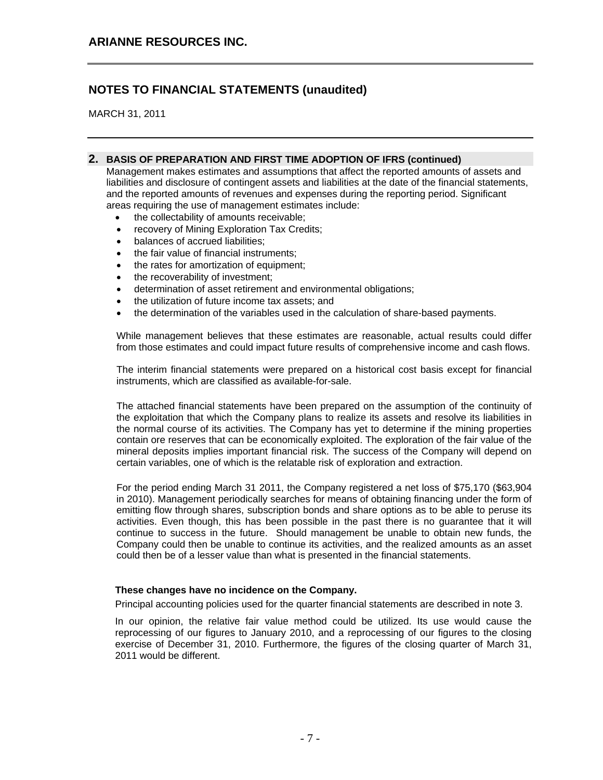MARCH 31, 2011

#### **2. BASIS OF PREPARATION AND FIRST TIME ADOPTION OF IFRS (continued)**

Management makes estimates and assumptions that affect the reported amounts of assets and liabilities and disclosure of contingent assets and liabilities at the date of the financial statements, and the reported amounts of revenues and expenses during the reporting period. Significant areas requiring the use of management estimates include:

- the collectability of amounts receivable;
- recovery of Mining Exploration Tax Credits:
- balances of accrued liabilities;
- the fair value of financial instruments;
- the rates for amortization of equipment;
- the recoverability of investment;
- determination of asset retirement and environmental obligations;
- the utilization of future income tax assets; and
- the determination of the variables used in the calculation of share-based payments.

While management believes that these estimates are reasonable, actual results could differ from those estimates and could impact future results of comprehensive income and cash flows.

The interim financial statements were prepared on a historical cost basis except for financial instruments, which are classified as available-for-sale.

The attached financial statements have been prepared on the assumption of the continuity of the exploitation that which the Company plans to realize its assets and resolve its liabilities in the normal course of its activities. The Company has yet to determine if the mining properties contain ore reserves that can be economically exploited. The exploration of the fair value of the mineral deposits implies important financial risk. The success of the Company will depend on certain variables, one of which is the relatable risk of exploration and extraction.

For the period ending March 31 2011, the Company registered a net loss of \$75,170 (\$63,904 in 2010). Management periodically searches for means of obtaining financing under the form of emitting flow through shares, subscription bonds and share options as to be able to peruse its activities. Even though, this has been possible in the past there is no guarantee that it will continue to success in the future. Should management be unable to obtain new funds, the Company could then be unable to continue its activities, and the realized amounts as an asset could then be of a lesser value than what is presented in the financial statements.

#### **These changes have no incidence on the Company.**

Principal accounting policies used for the quarter financial statements are described in note 3.

In our opinion, the relative fair value method could be utilized. Its use would cause the reprocessing of our figures to January 2010, and a reprocessing of our figures to the closing exercise of December 31, 2010. Furthermore, the figures of the closing quarter of March 31, 2011 would be different.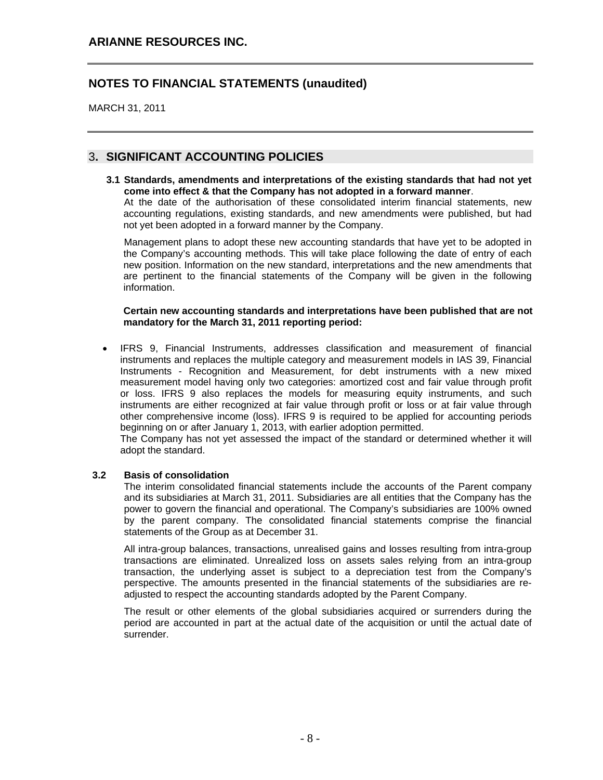MARCH 31, 2011

## 3**. SIGNIFICANT ACCOUNTING POLICIES**

**3.1 Standards, amendments and interpretations of the existing standards that had not yet come into effect & that the Company has not adopted in a forward manner**. At the date of the authorisation of these consolidated interim financial statements, new accounting regulations, existing standards, and new amendments were published, but had not yet been adopted in a forward manner by the Company.

Management plans to adopt these new accounting standards that have yet to be adopted in the Company's accounting methods. This will take place following the date of entry of each new position. Information on the new standard, interpretations and the new amendments that are pertinent to the financial statements of the Company will be given in the following information.

**Certain new accounting standards and interpretations have been published that are not mandatory for the March 31, 2011 reporting period:** 

• IFRS 9, Financial Instruments, addresses classification and measurement of financial instruments and replaces the multiple category and measurement models in IAS 39, Financial Instruments - Recognition and Measurement, for debt instruments with a new mixed measurement model having only two categories: amortized cost and fair value through profit or loss. IFRS 9 also replaces the models for measuring equity instruments, and such instruments are either recognized at fair value through profit or loss or at fair value through other comprehensive income (loss). IFRS 9 is required to be applied for accounting periods beginning on or after January 1, 2013, with earlier adoption permitted.

The Company has not yet assessed the impact of the standard or determined whether it will adopt the standard.

#### **3.2 Basis of consolidation**

The interim consolidated financial statements include the accounts of the Parent company and its subsidiaries at March 31, 2011. Subsidiaries are all entities that the Company has the power to govern the financial and operational. The Company's subsidiaries are 100% owned by the parent company. The consolidated financial statements comprise the financial statements of the Group as at December 31.

All intra-group balances, transactions, unrealised gains and losses resulting from intra-group transactions are eliminated. Unrealized loss on assets sales relying from an intra-group transaction, the underlying asset is subject to a depreciation test from the Company's perspective. The amounts presented in the financial statements of the subsidiaries are readjusted to respect the accounting standards adopted by the Parent Company.

The result or other elements of the global subsidiaries acquired or surrenders during the period are accounted in part at the actual date of the acquisition or until the actual date of surrender.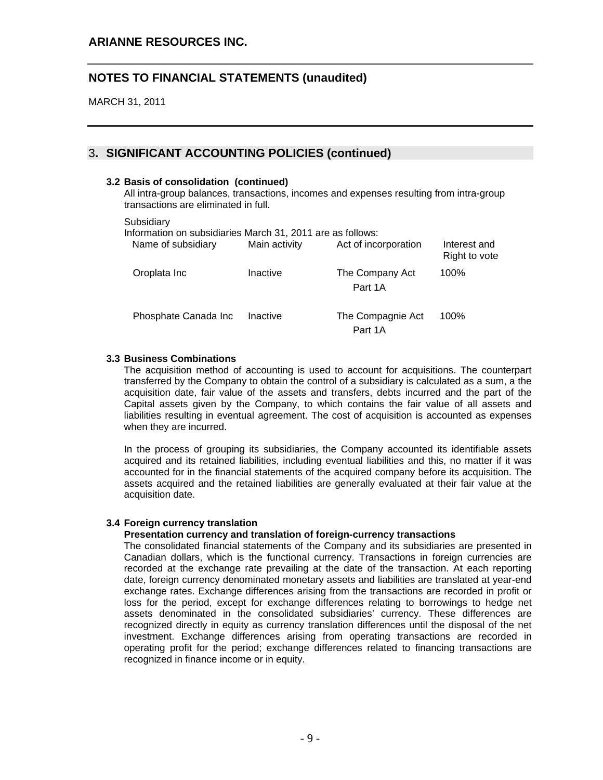MARCH 31, 2011

## 3**. SIGNIFICANT ACCOUNTING POLICIES (continued)**

#### **3.2 Basis of consolidation (continued)**

All intra-group balances, transactions, incomes and expenses resulting from intra-group transactions are eliminated in full.

#### **Subsidiarv**

Information on subsidiaries March 31, 2011 are as follows:

| Name of subsidiary   | Main activity | Act of incorporation         | Interest and<br>Right to vote |
|----------------------|---------------|------------------------------|-------------------------------|
| Oroplata Inc         | Inactive      | The Company Act<br>Part 1A   | 100%                          |
| Phosphate Canada Inc | Inactive      | The Compagnie Act<br>Part 1A | 100%                          |

#### **3.3 Business Combinations**

The acquisition method of accounting is used to account for acquisitions. The counterpart transferred by the Company to obtain the control of a subsidiary is calculated as a sum, a the acquisition date, fair value of the assets and transfers, debts incurred and the part of the Capital assets given by the Company, to which contains the fair value of all assets and liabilities resulting in eventual agreement. The cost of acquisition is accounted as expenses when they are incurred.

In the process of grouping its subsidiaries, the Company accounted its identifiable assets acquired and its retained liabilities, including eventual liabilities and this, no matter if it was accounted for in the financial statements of the acquired company before its acquisition. The assets acquired and the retained liabilities are generally evaluated at their fair value at the acquisition date.

#### **3.4 Foreign currency translation**

#### **Presentation currency and translation of foreign-currency transactions**

The consolidated financial statements of the Company and its subsidiaries are presented in Canadian dollars, which is the functional currency. Transactions in foreign currencies are recorded at the exchange rate prevailing at the date of the transaction. At each reporting date, foreign currency denominated monetary assets and liabilities are translated at year-end exchange rates. Exchange differences arising from the transactions are recorded in profit or loss for the period, except for exchange differences relating to borrowings to hedge net assets denominated in the consolidated subsidiaries' currency. These differences are recognized directly in equity as currency translation differences until the disposal of the net investment. Exchange differences arising from operating transactions are recorded in operating profit for the period; exchange differences related to financing transactions are recognized in finance income or in equity.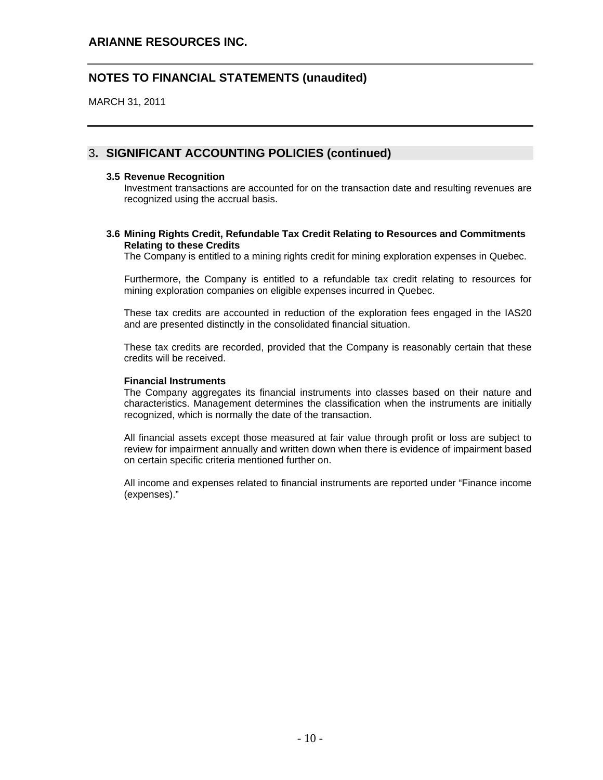MARCH 31, 2011

## 3**. SIGNIFICANT ACCOUNTING POLICIES (continued)**

#### **3.5 Revenue Recognition**

Investment transactions are accounted for on the transaction date and resulting revenues are recognized using the accrual basis.

#### **3.6 Mining Rights Credit, Refundable Tax Credit Relating to Resources and Commitments Relating to these Credits**

The Company is entitled to a mining rights credit for mining exploration expenses in Quebec.

Furthermore, the Company is entitled to a refundable tax credit relating to resources for mining exploration companies on eligible expenses incurred in Quebec.

These tax credits are accounted in reduction of the exploration fees engaged in the IAS20 and are presented distinctly in the consolidated financial situation.

These tax credits are recorded, provided that the Company is reasonably certain that these credits will be received.

#### **Financial Instruments**

The Company aggregates its financial instruments into classes based on their nature and characteristics. Management determines the classification when the instruments are initially recognized, which is normally the date of the transaction.

All financial assets except those measured at fair value through profit or loss are subject to review for impairment annually and written down when there is evidence of impairment based on certain specific criteria mentioned further on.

All income and expenses related to financial instruments are reported under "Finance income (expenses)."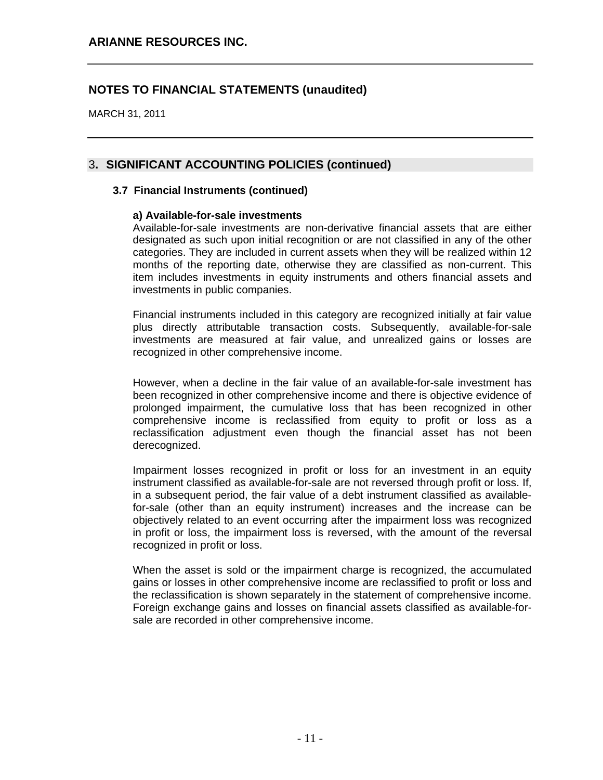MARCH 31, 2011

### 3**. SIGNIFICANT ACCOUNTING POLICIES (continued)**

#### **3.7 Financial Instruments (continued)**

#### **a) Available-for-sale investments**

Available-for-sale investments are non-derivative financial assets that are either designated as such upon initial recognition or are not classified in any of the other categories. They are included in current assets when they will be realized within 12 months of the reporting date, otherwise they are classified as non-current. This item includes investments in equity instruments and others financial assets and investments in public companies.

Financial instruments included in this category are recognized initially at fair value plus directly attributable transaction costs. Subsequently, available-for-sale investments are measured at fair value, and unrealized gains or losses are recognized in other comprehensive income.

However, when a decline in the fair value of an available-for-sale investment has been recognized in other comprehensive income and there is objective evidence of prolonged impairment, the cumulative loss that has been recognized in other comprehensive income is reclassified from equity to profit or loss as a reclassification adjustment even though the financial asset has not been derecognized.

Impairment losses recognized in profit or loss for an investment in an equity instrument classified as available-for-sale are not reversed through profit or loss. If, in a subsequent period, the fair value of a debt instrument classified as availablefor-sale (other than an equity instrument) increases and the increase can be objectively related to an event occurring after the impairment loss was recognized in profit or loss, the impairment loss is reversed, with the amount of the reversal recognized in profit or loss.

When the asset is sold or the impairment charge is recognized, the accumulated gains or losses in other comprehensive income are reclassified to profit or loss and the reclassification is shown separately in the statement of comprehensive income. Foreign exchange gains and losses on financial assets classified as available-forsale are recorded in other comprehensive income.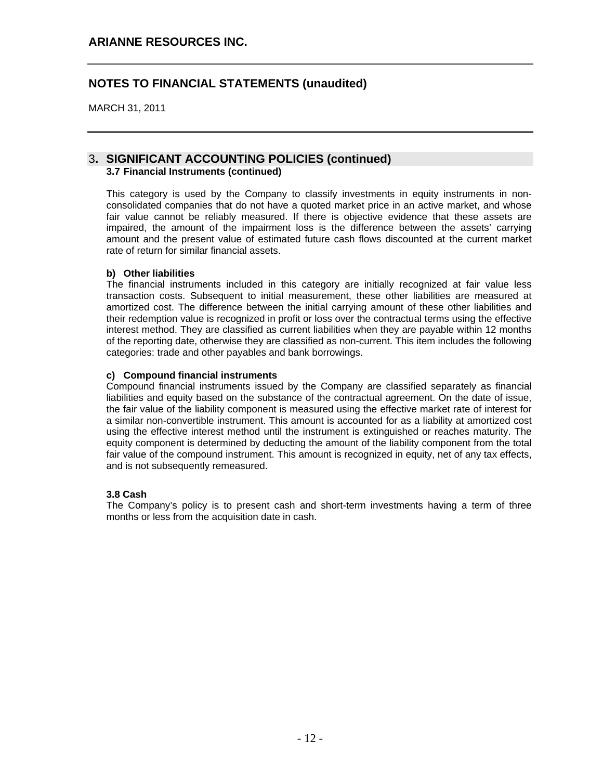MARCH 31, 2011

#### 3**. SIGNIFICANT ACCOUNTING POLICIES (continued) 3.7 Financial Instruments (continued)**

This category is used by the Company to classify investments in equity instruments in nonconsolidated companies that do not have a quoted market price in an active market, and whose fair value cannot be reliably measured. If there is objective evidence that these assets are impaired, the amount of the impairment loss is the difference between the assets' carrying amount and the present value of estimated future cash flows discounted at the current market rate of return for similar financial assets.

#### **b) Other liabilities**

The financial instruments included in this category are initially recognized at fair value less transaction costs. Subsequent to initial measurement, these other liabilities are measured at amortized cost. The difference between the initial carrying amount of these other liabilities and their redemption value is recognized in profit or loss over the contractual terms using the effective interest method. They are classified as current liabilities when they are payable within 12 months of the reporting date, otherwise they are classified as non-current. This item includes the following categories: trade and other payables and bank borrowings.

#### **c) Compound financial instruments**

Compound financial instruments issued by the Company are classified separately as financial liabilities and equity based on the substance of the contractual agreement. On the date of issue, the fair value of the liability component is measured using the effective market rate of interest for a similar non-convertible instrument. This amount is accounted for as a liability at amortized cost using the effective interest method until the instrument is extinguished or reaches maturity. The equity component is determined by deducting the amount of the liability component from the total fair value of the compound instrument. This amount is recognized in equity, net of any tax effects, and is not subsequently remeasured.

#### **3.8 Cash**

The Company's policy is to present cash and short-term investments having a term of three months or less from the acquisition date in cash.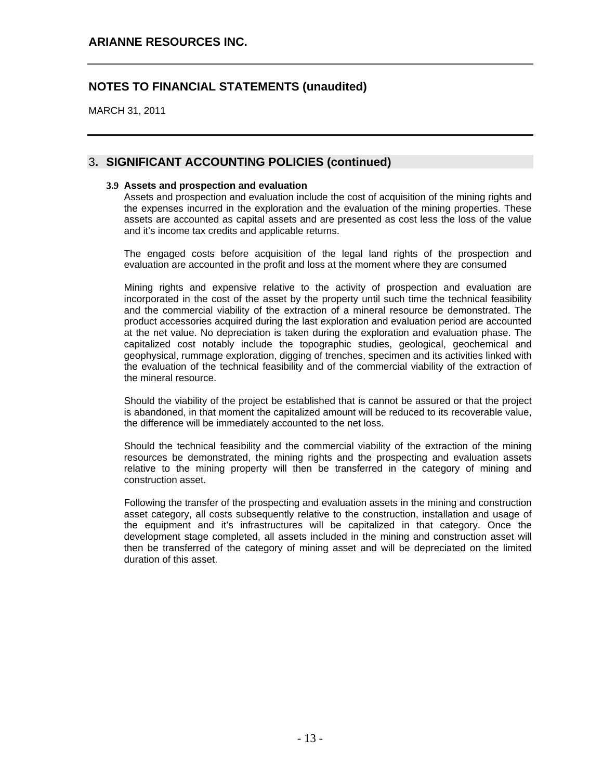MARCH 31, 2011

### 3**. SIGNIFICANT ACCOUNTING POLICIES (continued)**

#### **3.9 Assets and prospection and evaluation**

Assets and prospection and evaluation include the cost of acquisition of the mining rights and the expenses incurred in the exploration and the evaluation of the mining properties. These assets are accounted as capital assets and are presented as cost less the loss of the value and it's income tax credits and applicable returns.

The engaged costs before acquisition of the legal land rights of the prospection and evaluation are accounted in the profit and loss at the moment where they are consumed

Mining rights and expensive relative to the activity of prospection and evaluation are incorporated in the cost of the asset by the property until such time the technical feasibility and the commercial viability of the extraction of a mineral resource be demonstrated. The product accessories acquired during the last exploration and evaluation period are accounted at the net value. No depreciation is taken during the exploration and evaluation phase. The capitalized cost notably include the topographic studies, geological, geochemical and geophysical, rummage exploration, digging of trenches, specimen and its activities linked with the evaluation of the technical feasibility and of the commercial viability of the extraction of the mineral resource.

Should the viability of the project be established that is cannot be assured or that the project is abandoned, in that moment the capitalized amount will be reduced to its recoverable value, the difference will be immediately accounted to the net loss.

Should the technical feasibility and the commercial viability of the extraction of the mining resources be demonstrated, the mining rights and the prospecting and evaluation assets relative to the mining property will then be transferred in the category of mining and construction asset.

Following the transfer of the prospecting and evaluation assets in the mining and construction asset category, all costs subsequently relative to the construction, installation and usage of the equipment and it's infrastructures will be capitalized in that category. Once the development stage completed, all assets included in the mining and construction asset will then be transferred of the category of mining asset and will be depreciated on the limited duration of this asset.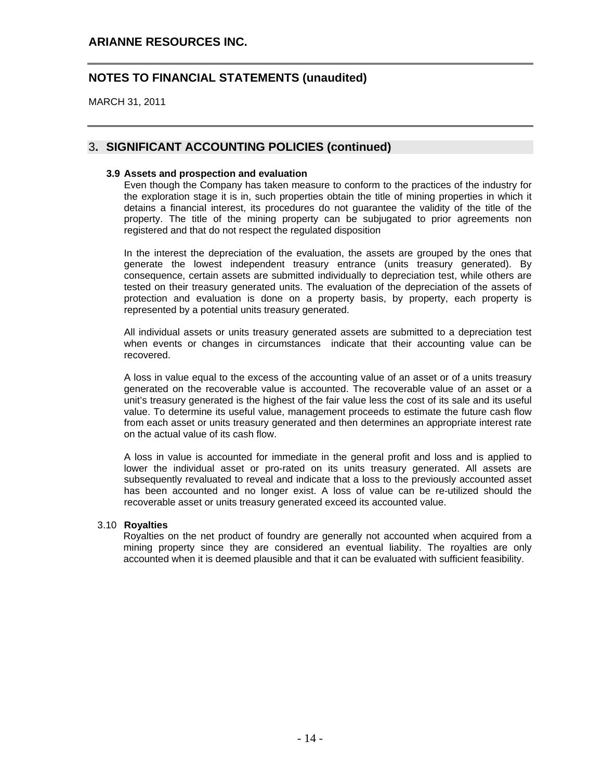### **ARIANNE RESOURCES INC.**

## **NOTES TO FINANCIAL STATEMENTS (unaudited)**

MARCH 31, 2011

### 3**. SIGNIFICANT ACCOUNTING POLICIES (continued)**

#### **3.9 Assets and prospection and evaluation**

Even though the Company has taken measure to conform to the practices of the industry for the exploration stage it is in, such properties obtain the title of mining properties in which it detains a financial interest, its procedures do not guarantee the validity of the title of the property. The title of the mining property can be subjugated to prior agreements non registered and that do not respect the regulated disposition

In the interest the depreciation of the evaluation, the assets are grouped by the ones that generate the lowest independent treasury entrance (units treasury generated). By consequence, certain assets are submitted individually to depreciation test, while others are tested on their treasury generated units. The evaluation of the depreciation of the assets of protection and evaluation is done on a property basis, by property, each property is represented by a potential units treasury generated.

All individual assets or units treasury generated assets are submitted to a depreciation test when events or changes in circumstances indicate that their accounting value can be recovered.

A loss in value equal to the excess of the accounting value of an asset or of a units treasury generated on the recoverable value is accounted. The recoverable value of an asset or a unit's treasury generated is the highest of the fair value less the cost of its sale and its useful value. To determine its useful value, management proceeds to estimate the future cash flow from each asset or units treasury generated and then determines an appropriate interest rate on the actual value of its cash flow.

A loss in value is accounted for immediate in the general profit and loss and is applied to lower the individual asset or pro-rated on its units treasury generated. All assets are subsequently revaluated to reveal and indicate that a loss to the previously accounted asset has been accounted and no longer exist. A loss of value can be re-utilized should the recoverable asset or units treasury generated exceed its accounted value.

#### 3.10 **Royalties**

Royalties on the net product of foundry are generally not accounted when acquired from a mining property since they are considered an eventual liability. The royalties are only accounted when it is deemed plausible and that it can be evaluated with sufficient feasibility.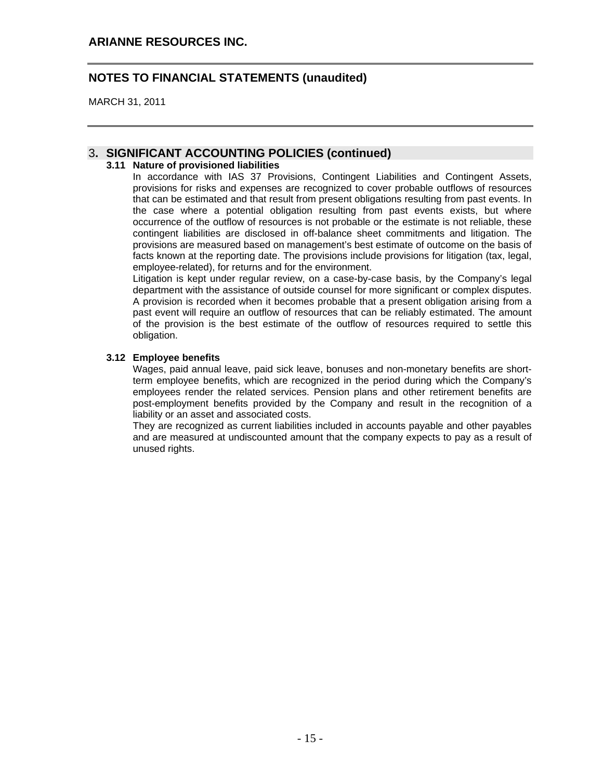MARCH 31, 2011

### 3**. SIGNIFICANT ACCOUNTING POLICIES (continued)**

#### **3.11 Nature of provisioned liabilities**

In accordance with IAS 37 Provisions, Contingent Liabilities and Contingent Assets, provisions for risks and expenses are recognized to cover probable outflows of resources that can be estimated and that result from present obligations resulting from past events. In the case where a potential obligation resulting from past events exists, but where occurrence of the outflow of resources is not probable or the estimate is not reliable, these contingent liabilities are disclosed in off-balance sheet commitments and litigation. The provisions are measured based on management's best estimate of outcome on the basis of facts known at the reporting date. The provisions include provisions for litigation (tax, legal, employee-related), for returns and for the environment.

Litigation is kept under regular review, on a case-by-case basis, by the Company's legal department with the assistance of outside counsel for more significant or complex disputes. A provision is recorded when it becomes probable that a present obligation arising from a past event will require an outflow of resources that can be reliably estimated. The amount of the provision is the best estimate of the outflow of resources required to settle this obligation.

#### **3.12 Employee benefits**

Wages, paid annual leave, paid sick leave, bonuses and non-monetary benefits are shortterm employee benefits, which are recognized in the period during which the Company's employees render the related services. Pension plans and other retirement benefits are post-employment benefits provided by the Company and result in the recognition of a liability or an asset and associated costs.

They are recognized as current liabilities included in accounts payable and other payables and are measured at undiscounted amount that the company expects to pay as a result of unused rights.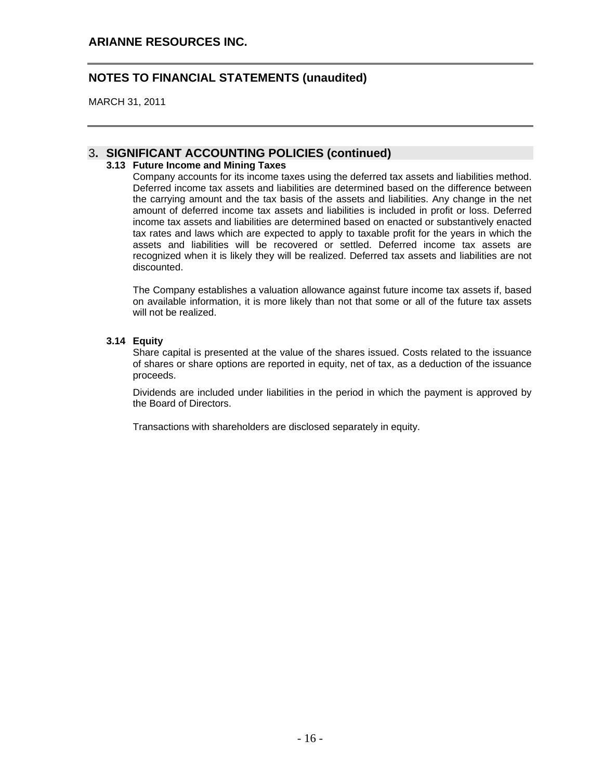MARCH 31, 2011

### 3**. SIGNIFICANT ACCOUNTING POLICIES (continued)**

#### **3.13 Future Income and Mining Taxes**

Company accounts for its income taxes using the deferred tax assets and liabilities method. Deferred income tax assets and liabilities are determined based on the difference between the carrying amount and the tax basis of the assets and liabilities. Any change in the net amount of deferred income tax assets and liabilities is included in profit or loss. Deferred income tax assets and liabilities are determined based on enacted or substantively enacted tax rates and laws which are expected to apply to taxable profit for the years in which the assets and liabilities will be recovered or settled. Deferred income tax assets are recognized when it is likely they will be realized. Deferred tax assets and liabilities are not discounted.

The Company establishes a valuation allowance against future income tax assets if, based on available information, it is more likely than not that some or all of the future tax assets will not be realized.

#### **3.14 Equity**

Share capital is presented at the value of the shares issued. Costs related to the issuance of shares or share options are reported in equity, net of tax, as a deduction of the issuance proceeds.

Dividends are included under liabilities in the period in which the payment is approved by the Board of Directors.

Transactions with shareholders are disclosed separately in equity.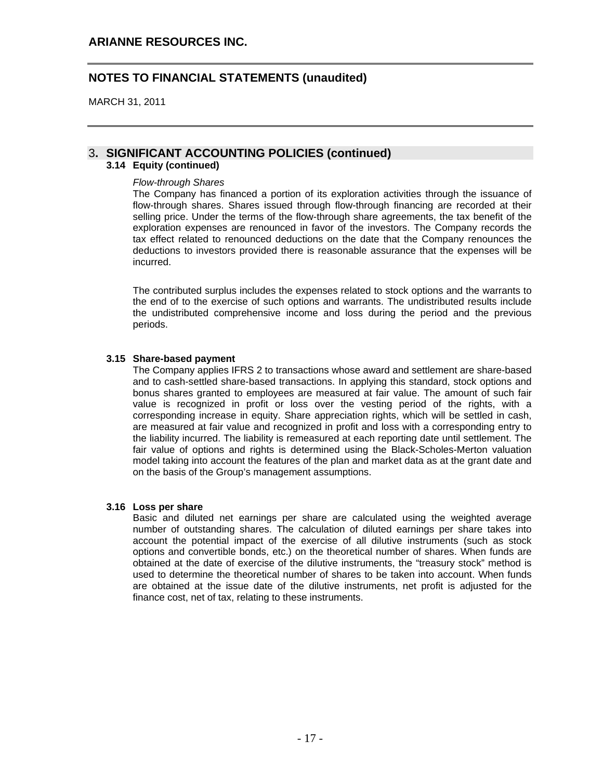MARCH 31, 2011

### 3**. SIGNIFICANT ACCOUNTING POLICIES (continued)**

#### **3.14 Equity (continued)**

#### *Flow-through Shares*

The Company has financed a portion of its exploration activities through the issuance of flow-through shares. Shares issued through flow-through financing are recorded at their selling price. Under the terms of the flow-through share agreements, the tax benefit of the exploration expenses are renounced in favor of the investors. The Company records the tax effect related to renounced deductions on the date that the Company renounces the deductions to investors provided there is reasonable assurance that the expenses will be incurred.

The contributed surplus includes the expenses related to stock options and the warrants to the end of to the exercise of such options and warrants. The undistributed results include the undistributed comprehensive income and loss during the period and the previous periods.

#### **3.15 Share-based payment**

The Company applies IFRS 2 to transactions whose award and settlement are share-based and to cash-settled share-based transactions. In applying this standard, stock options and bonus shares granted to employees are measured at fair value. The amount of such fair value is recognized in profit or loss over the vesting period of the rights, with a corresponding increase in equity. Share appreciation rights, which will be settled in cash, are measured at fair value and recognized in profit and loss with a corresponding entry to the liability incurred. The liability is remeasured at each reporting date until settlement. The fair value of options and rights is determined using the Black-Scholes-Merton valuation model taking into account the features of the plan and market data as at the grant date and on the basis of the Group's management assumptions.

#### **3.16 Loss per share**

Basic and diluted net earnings per share are calculated using the weighted average number of outstanding shares. The calculation of diluted earnings per share takes into account the potential impact of the exercise of all dilutive instruments (such as stock options and convertible bonds, etc.) on the theoretical number of shares. When funds are obtained at the date of exercise of the dilutive instruments, the "treasury stock" method is used to determine the theoretical number of shares to be taken into account. When funds are obtained at the issue date of the dilutive instruments, net profit is adjusted for the finance cost, net of tax, relating to these instruments.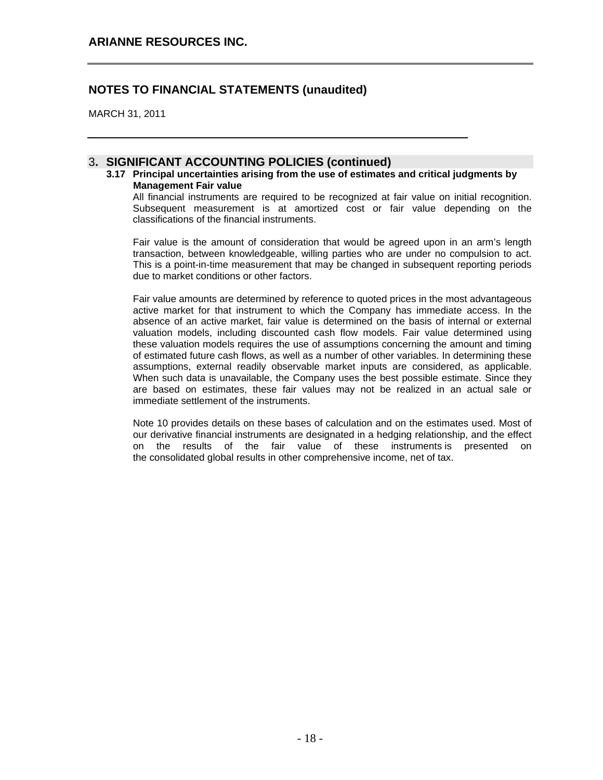MARCH 31, 2011

#### 3**. SIGNIFICANT ACCOUNTING POLICIES (continued)**

**3.17 Principal uncertainties arising from the use of estimates and critical judgments by Management Fair value** 

All financial instruments are required to be recognized at fair value on initial recognition. Subsequent measurement is at amortized cost or fair value depending on the classifications of the financial instruments.

Fair value is the amount of consideration that would be agreed upon in an arm's length transaction, between knowledgeable, willing parties who are under no compulsion to act. This is a point-in-time measurement that may be changed in subsequent reporting periods due to market conditions or other factors.

Fair value amounts are determined by reference to quoted prices in the most advantageous active market for that instrument to which the Company has immediate access. In the absence of an active market, fair value is determined on the basis of internal or external valuation models, including discounted cash flow models. Fair value determined using these valuation models requires the use of assumptions concerning the amount and timing of estimated future cash flows, as well as a number of other variables. In determining these assumptions, external readily observable market inputs are considered, as applicable. When such data is unavailable, the Company uses the best possible estimate. Since they are based on estimates, these fair values may not be realized in an actual sale or immediate settlement of the instruments.

Note 10 provides details on these bases of calculation and on the estimates used. Most of our derivative financial instruments are designated in a hedging relationship, and the effect on the results of the fair value of these instruments is presented on the consolidated global results in other comprehensive income, net of tax.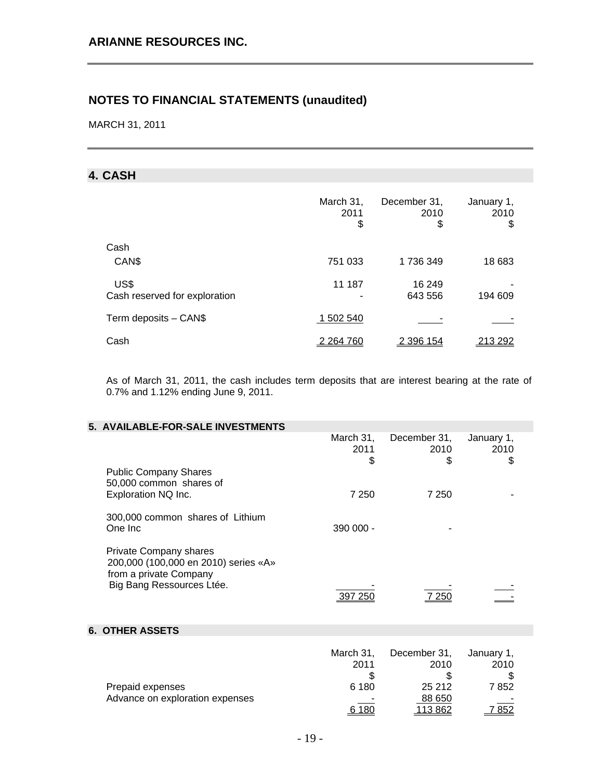MARCH 31, 2011

## **4. CASH**

|                                       | March 31,<br>2011<br>\$            | December 31,<br>2010<br>\$ | January 1,<br>2010<br>\$ |
|---------------------------------------|------------------------------------|----------------------------|--------------------------|
| Cash                                  |                                    |                            |                          |
| CAN\$                                 | 751 033                            | 1736349                    | 18 683                   |
| US\$<br>Cash reserved for exploration | 11 187<br>$\overline{\phantom{0}}$ | 16 249<br>643 556          | 194 609                  |
| Term deposits - CAN\$                 | 1 502 540                          |                            |                          |
| Cash                                  | 2 2 64 7 60                        | 2 396 154                  | 213 292                  |

As of March 31, 2011, the cash includes term deposits that are interest bearing at the rate of 0.7% and 1.12% ending June 9, 2011.

| 5. AVAILABLE-FOR-SALE INVESTMENTS                                                                                            |                                  |                                      |                            |  |
|------------------------------------------------------------------------------------------------------------------------------|----------------------------------|--------------------------------------|----------------------------|--|
|                                                                                                                              | March 31,<br>2011<br>\$          | December 31,<br>2010<br>\$           | January 1,<br>2010<br>\$   |  |
| <b>Public Company Shares</b><br>50,000 common shares of<br>Exploration NQ Inc.                                               | 7 2 5 0                          | 7 2 5 0                              |                            |  |
| 300,000 common shares of Lithium<br>One Inc                                                                                  | 390 000 -                        |                                      |                            |  |
| <b>Private Company shares</b><br>200,000 (100,000 en 2010) series «A»<br>from a private Company<br>Big Bang Ressources Ltée. | 397 250                          | 7 2 5 0                              |                            |  |
| <b>6. OTHER ASSETS</b>                                                                                                       |                                  |                                      |                            |  |
| Prepaid expenses                                                                                                             | March 31,<br>2011<br>\$<br>6 180 | December 31,<br>2010<br>\$<br>25 212 | January 1,<br>2010<br>7852 |  |
| Advance on exploration expenses                                                                                              | 6 180                            | 88 650<br><u> 113 862</u>            | 7852                       |  |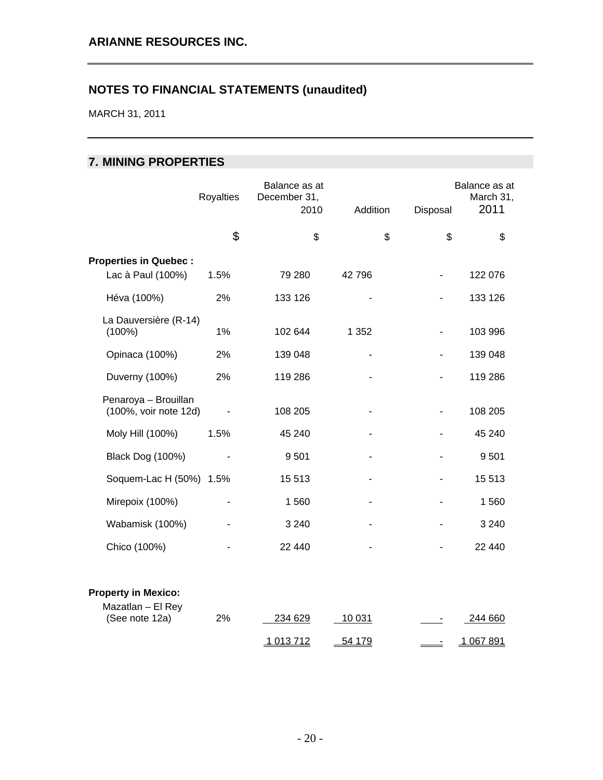MARCH 31, 2011

## **7. MINING PROPERTIES**

|                                                 | Royalties                | Balance as at<br>December 31,<br>2010 | Addition                 | Disposal                 | Balance as at<br>March 31,<br>2011 |
|-------------------------------------------------|--------------------------|---------------------------------------|--------------------------|--------------------------|------------------------------------|
|                                                 | \$                       | \$                                    | \$                       | \$                       | \$                                 |
| <b>Properties in Quebec:</b>                    |                          |                                       |                          |                          |                                    |
| Lac à Paul (100%)                               | 1.5%                     | 79 280                                | 42796                    |                          | 122 076                            |
| Héva (100%)                                     | 2%                       | 133 126                               |                          |                          | 133 126                            |
| La Dauversière (R-14)<br>$(100\%)$              | 1%                       | 102 644                               | 1 3 5 2                  |                          | 103 996                            |
| Opinaca (100%)                                  | 2%                       | 139 048                               |                          |                          | 139 048                            |
| Duverny (100%)                                  | 2%                       | 119 286                               |                          |                          | 119 286                            |
| Penaroya - Brouillan<br>(100%, voir note 12d)   |                          | 108 205                               | $\overline{\phantom{a}}$ | $\overline{\phantom{a}}$ | 108 205                            |
| Moly Hill (100%)                                | 1.5%                     | 45 240                                |                          |                          | 45 240                             |
| Black Dog (100%)                                | $\overline{\phantom{a}}$ | 9501                                  | $\overline{\phantom{a}}$ |                          | 9501                               |
| Soquem-Lac H (50%) 1.5%                         |                          | 15 5 13                               | $\overline{\phantom{0}}$ |                          | 15513                              |
| Mirepoix (100%)                                 |                          | 1560                                  |                          |                          | 1560                               |
| Wabamisk (100%)                                 |                          | 3 2 4 0                               |                          |                          | 3 2 4 0                            |
| Chico (100%)                                    |                          | 22 440                                |                          |                          | 22 440                             |
| <b>Property in Mexico:</b><br>Mazatlan - El Rey |                          |                                       |                          |                          |                                    |
| (See note 12a)                                  | 2%                       | 234 629                               | 10 031                   | ٠                        | 244 660                            |
|                                                 |                          | 1 013 712                             | 54 179                   | $\overline{\phantom{a}}$ | 1 067 891                          |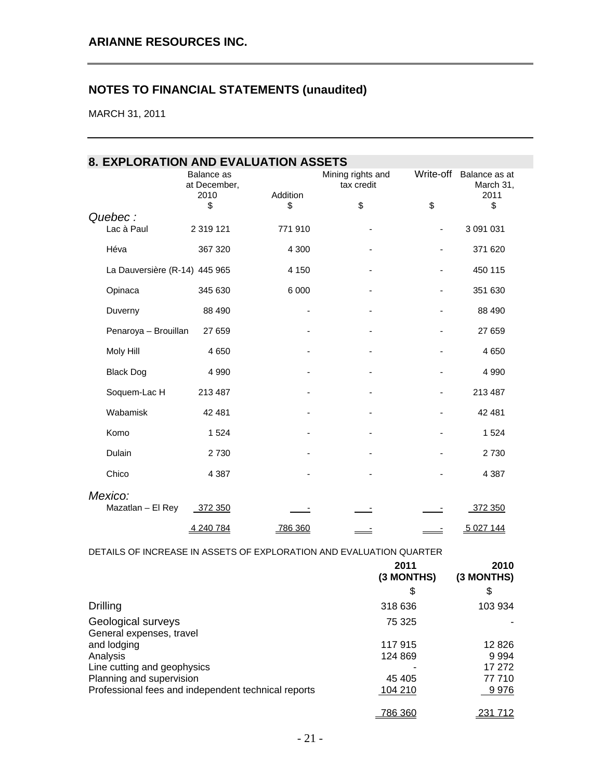MARCH 31, 2011

| 8. EXPLORATION AND EVALUATION ASSETS |                            |                |                                 |                          |                            |
|--------------------------------------|----------------------------|----------------|---------------------------------|--------------------------|----------------------------|
|                                      | Balance as<br>at December, |                | Mining rights and<br>tax credit | Write-off                | Balance as at<br>March 31, |
|                                      | 2010<br>\$                 | Addition<br>\$ | \$                              | \$                       | 2011<br>\$                 |
| Quebec:<br>Lac à Paul                | 2 3 1 9 1 2 1              | 771 910        |                                 | $\overline{\phantom{a}}$ | 3 091 031                  |
| Héva                                 | 367 320                    | 4 300          | ÷,                              | ÷,                       | 371 620                    |
| La Dauversière (R-14) 445 965        |                            | 4 150          |                                 |                          | 450 115                    |
| Opinaca                              | 345 630                    | 6 0 0 0        |                                 | $\overline{\phantom{0}}$ | 351 630                    |
| Duverny                              | 88 490                     |                |                                 | $\overline{\phantom{0}}$ | 88 490                     |
| Penaroya - Brouillan                 | 27 659                     |                |                                 |                          | 27 659                     |
| Moly Hill                            | 4 6 5 0                    |                |                                 |                          | 4 6 5 0                    |
| <b>Black Dog</b>                     | 4 9 9 0                    |                |                                 |                          | 4 9 9 0                    |
| Soquem-Lac H                         | 213 487                    |                |                                 |                          | 213 487                    |
| Wabamisk                             | 42 481                     |                |                                 | $\overline{\phantom{0}}$ | 42 481                     |
| Komo                                 | 1524                       |                |                                 | $\overline{\phantom{0}}$ | 1 5 2 4                    |
| Dulain                               | 2 7 3 0                    |                |                                 |                          | 2 7 3 0                    |
| Chico                                | 4 3 8 7                    |                |                                 |                          | 4 3 8 7                    |
| Mexico:<br>Mazatlan - El Rey         | 372 350                    |                |                                 |                          | 372 350                    |
|                                      | 4 240 784                  | 786 360        |                                 |                          | 5 0 27 144                 |

DETAILS OF INCREASE IN ASSETS OF EXPLORATION AND EVALUATION QUARTER

|                                                     | 2011<br>(3 MONTHS) | 2010<br>(3 MONTHS) |
|-----------------------------------------------------|--------------------|--------------------|
|                                                     | \$                 | S                  |
| Drilling                                            | 318 636            | 103 934            |
| Geological surveys<br>General expenses, travel      | 75 325             |                    |
| and lodging                                         | 117915             | 12 8 26            |
| Analysis                                            | 124 869            | 9 9 9 4            |
| Line cutting and geophysics                         |                    | 17 272             |
| Planning and supervision                            | 45 405             | 77 710             |
| Professional fees and independent technical reports | 104 210            | 9976               |
|                                                     | <u>786 360</u>     | 231 712            |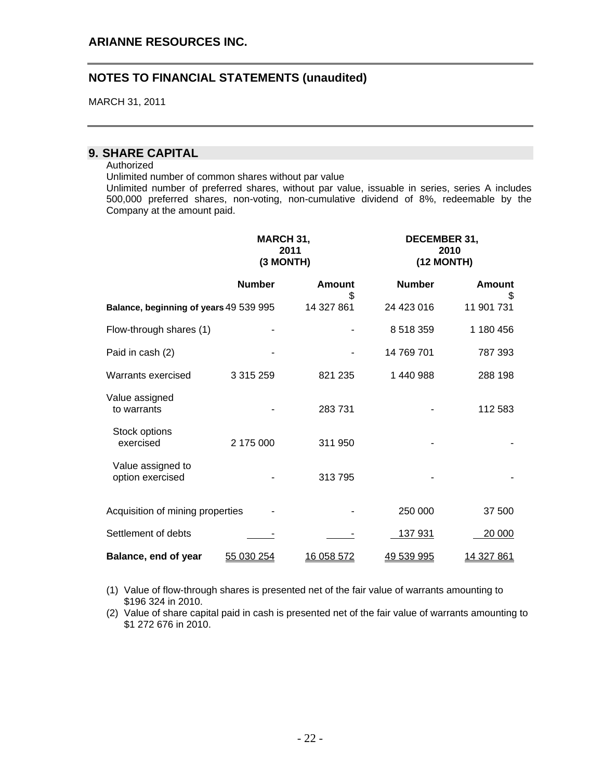MARCH 31, 2011

## **9. SHARE CAPITAL**

#### Authorized

Unlimited number of common shares without par value

Unlimited number of preferred shares, without par value, issuable in series, series A includes 500,000 preferred shares, non-voting, non-cumulative dividend of 8%, redeemable by the Company at the amount paid.

|                                        | MARCH 31,<br>2011<br>(3 MONTH) |              |               | DECEMBER 31,<br>2010<br>(12 MONTH) |
|----------------------------------------|--------------------------------|--------------|---------------|------------------------------------|
|                                        | <b>Number</b>                  | Amount<br>S. | <b>Number</b> | <b>Amount</b><br>\$.               |
| Balance, beginning of years 49 539 995 |                                | 14 327 861   | 24 423 016    | 11 901 731                         |
| Flow-through shares (1)                |                                |              | 8 518 359     | 1 180 456                          |
| Paid in cash (2)                       |                                |              | 14 769 701    | 787 393                            |
| Warrants exercised                     | 3 3 1 5 2 5 9                  | 821 235      | 1 440 988     | 288 198                            |
| Value assigned<br>to warrants          |                                | 283731       |               | 112 583                            |
| Stock options<br>exercised             | 2 175 000                      | 311 950      |               |                                    |
| Value assigned to<br>option exercised  |                                | 313795       |               |                                    |
| Acquisition of mining properties       |                                |              | 250 000       | 37 500                             |
| Settlement of debts                    |                                |              | 137 931       | 20 000                             |
| Balance, end of year                   | 55 030 254                     | 16 058 572   | 49 539 995    | <u>14 327 861</u>                  |

(1) Value of flow-through shares is presented net of the fair value of warrants amounting to \$196 324 in 2010.

(2) Value of share capital paid in cash is presented net of the fair value of warrants amounting to \$1 272 676 in 2010.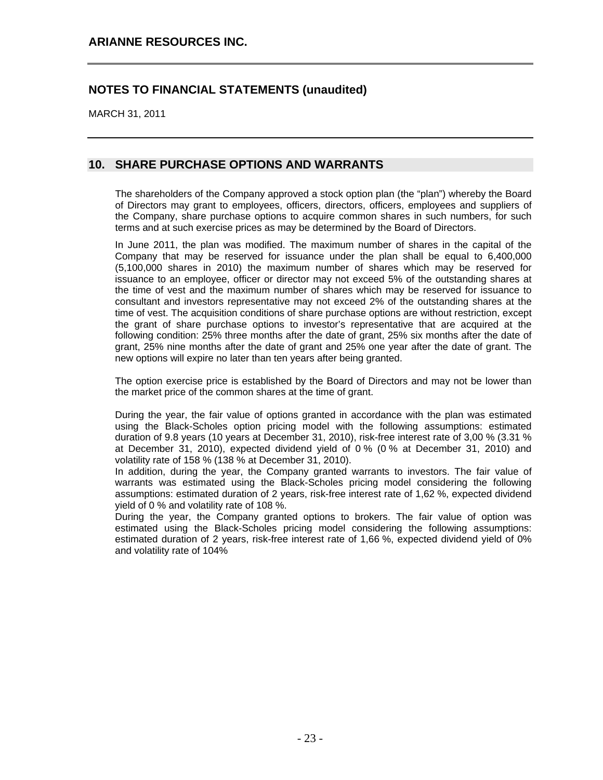MARCH 31, 2011

### **10. SHARE PURCHASE OPTIONS AND WARRANTS**

The shareholders of the Company approved a stock option plan (the "plan") whereby the Board of Directors may grant to employees, officers, directors, officers, employees and suppliers of the Company, share purchase options to acquire common shares in such numbers, for such terms and at such exercise prices as may be determined by the Board of Directors.

In June 2011, the plan was modified. The maximum number of shares in the capital of the Company that may be reserved for issuance under the plan shall be equal to 6,400,000 (5,100,000 shares in 2010) the maximum number of shares which may be reserved for issuance to an employee, officer or director may not exceed 5% of the outstanding shares at the time of vest and the maximum number of shares which may be reserved for issuance to consultant and investors representative may not exceed 2% of the outstanding shares at the time of vest. The acquisition conditions of share purchase options are without restriction, except the grant of share purchase options to investor's representative that are acquired at the following condition: 25% three months after the date of grant, 25% six months after the date of grant, 25% nine months after the date of grant and 25% one year after the date of grant. The new options will expire no later than ten years after being granted.

The option exercise price is established by the Board of Directors and may not be lower than the market price of the common shares at the time of grant.

During the year, the fair value of options granted in accordance with the plan was estimated using the Black-Scholes option pricing model with the following assumptions: estimated duration of 9.8 years (10 years at December 31, 2010), risk-free interest rate of 3,00 % (3.31 % at December 31, 2010), expected dividend yield of 0 % (0 % at December 31, 2010) and volatility rate of 158 % (138 % at December 31, 2010).

In addition, during the year, the Company granted warrants to investors. The fair value of warrants was estimated using the Black-Scholes pricing model considering the following assumptions: estimated duration of 2 years, risk-free interest rate of 1,62 %, expected dividend yield of 0 % and volatility rate of 108 %.

During the year, the Company granted options to brokers. The fair value of option was estimated using the Black-Scholes pricing model considering the following assumptions: estimated duration of 2 years, risk-free interest rate of 1,66 %, expected dividend yield of 0% and volatility rate of 104%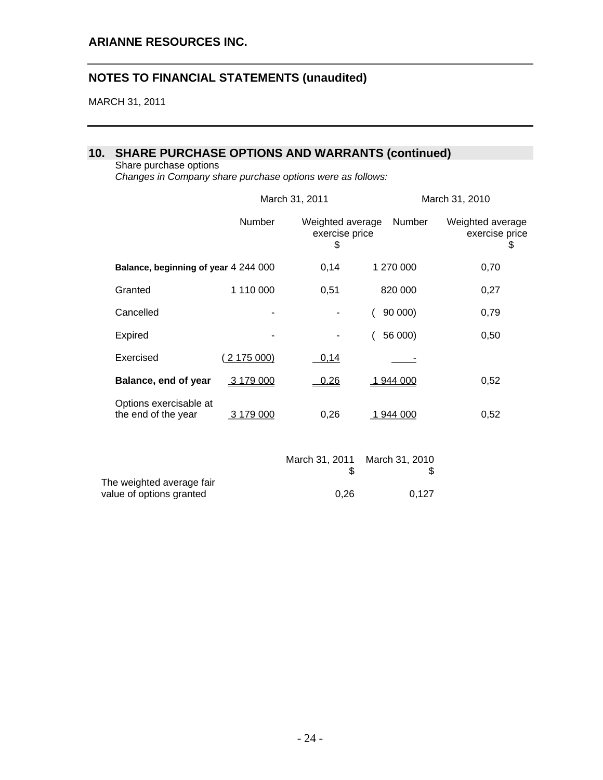MARCH 31, 2011

## **10. SHARE PURCHASE OPTIONS AND WARRANTS (continued)**

value of options granted  $0,26$  0,127

#### Share purchase options

*Changes in Company share purchase options were as follows:* 

|                                               |            | March 31, 2011                           |                      | March 31, 2010                          |  |  |
|-----------------------------------------------|------------|------------------------------------------|----------------------|-----------------------------------------|--|--|
|                                               | Number     | Weighted average<br>exercise price<br>\$ | Number               | Weighted average<br>exercise price<br>S |  |  |
| Balance, beginning of year 4 244 000          |            | 0,14                                     | 1 270 000            | 0,70                                    |  |  |
| Granted                                       | 1 110 000  | 0,51                                     | 820 000              | 0,27                                    |  |  |
| Cancelled                                     |            |                                          | 90 000)              | 0,79                                    |  |  |
| Expired                                       |            |                                          | 56 000)              | 0,50                                    |  |  |
| Exercised                                     | 2 175 000) | 0,14                                     |                      |                                         |  |  |
| Balance, end of year                          | 3 179 000  | 0,26                                     | 1 944 000            | 0,52                                    |  |  |
| Options exercisable at<br>the end of the year | 3 179 000  | 0,26                                     | 1 944 000            | 0,52                                    |  |  |
| The weighted average fair                     |            | March 31, 2011<br>\$                     | March 31, 2010<br>\$ |                                         |  |  |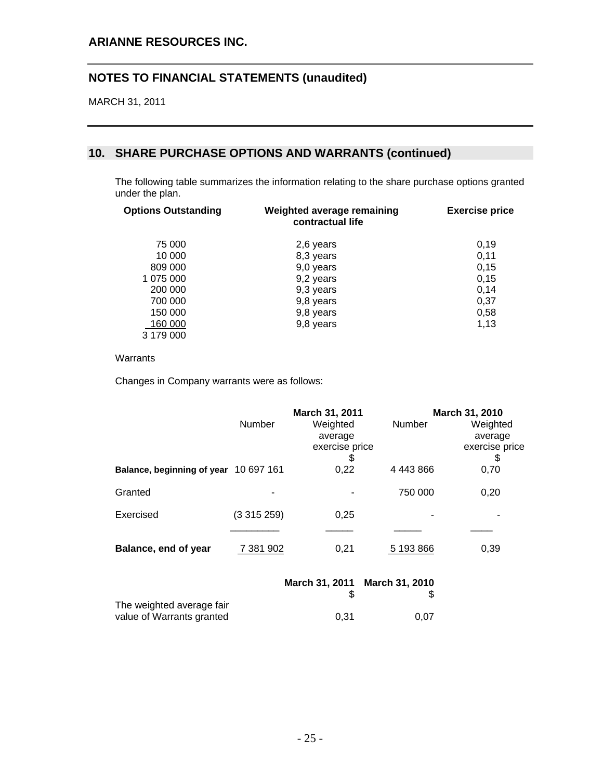MARCH 31, 2011

## **10. SHARE PURCHASE OPTIONS AND WARRANTS (continued)**

The following table summarizes the information relating to the share purchase options granted under the plan.

| <b>Options Outstanding</b> | Weighted average remaining<br>contractual life | <b>Exercise price</b> |
|----------------------------|------------------------------------------------|-----------------------|
| 75 000                     | 2,6 years                                      | 0.19                  |
| 10 000                     | 8,3 years                                      | 0,11                  |
| 809 000                    | 9,0 years                                      | 0,15                  |
| 1 075 000                  | 9,2 years                                      | 0,15                  |
| 200 000                    | 9,3 years                                      | 0,14                  |
| 700 000                    | 9,8 years                                      | 0,37                  |
| 150 000                    | 9,8 years                                      | 0,58                  |
| 160 000                    | 9,8 years                                      | 1,13                  |
| 3 179 000                  |                                                |                       |

#### Warrants

Changes in Company warrants were as follows:

|                                       |           | March 31, 2011                              |                   | March 31, 2010                              |  |
|---------------------------------------|-----------|---------------------------------------------|-------------------|---------------------------------------------|--|
|                                       | Number    | Weighted<br>average<br>exercise price<br>S, | Number            | Weighted<br>average<br>exercise price<br>\$ |  |
| Balance, beginning of year 10 697 161 |           | 0,22                                        | 4 4 4 3 8 6 6     | 0,70                                        |  |
| Granted                               |           |                                             | 750 000           | 0,20                                        |  |
| Exercised                             | (3315259) | 0,25                                        |                   |                                             |  |
| Balance, end of year                  | 7 381 902 | 0,21                                        | 5 193 866         | 0,39                                        |  |
|                                       |           | $M$ ayah 24. 2044                           | $M$ axah 24. 2040 |                                             |  |

|                           |      | March 31, 2011 March 31, 2010 |
|---------------------------|------|-------------------------------|
|                           |      |                               |
| The weighted average fair |      |                               |
| value of Warrants granted | 0.31 | 0.07                          |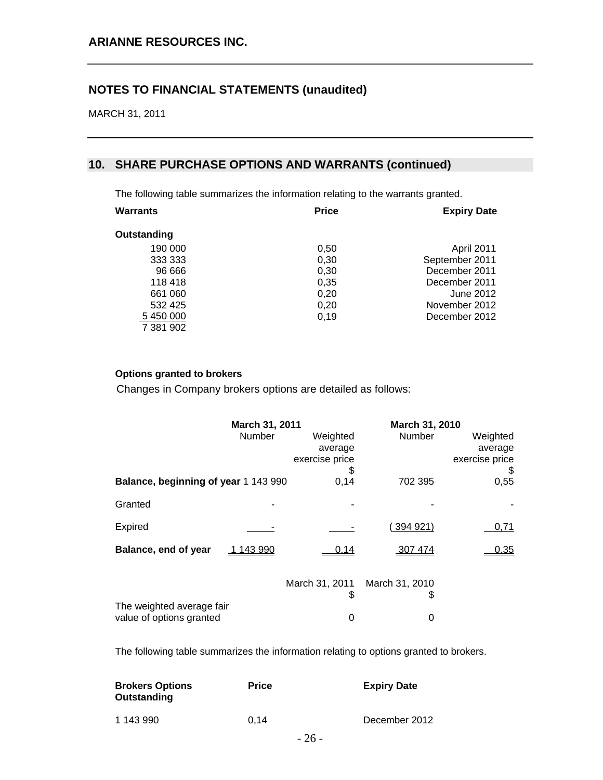MARCH 31, 2011

### **10. SHARE PURCHASE OPTIONS AND WARRANTS (continued)**

The following table summarizes the information relating to the warrants granted.

| Warrants    | <b>Price</b> | <b>Expiry Date</b> |
|-------------|--------------|--------------------|
| Outstanding |              |                    |
| 190 000     | 0,50         | April 2011         |
| 333 333     | 0,30         | September 2011     |
| 96 666      | 0,30         | December 2011      |
| 118 418     | 0,35         | December 2011      |
| 661 060     | 0,20         | June 2012          |
| 532 425     | 0,20         | November 2012      |
| 5 450 000   | 0.19         | December 2012      |
| 7 381 902   |              |                    |

### **Options granted to brokers**

Changes in Company brokers options are detailed as follows:

|                                                       | March 31, 2011 |                                       | March 31, 2010      |                                       |
|-------------------------------------------------------|----------------|---------------------------------------|---------------------|---------------------------------------|
|                                                       | Number         | Weighted<br>average<br>exercise price | Number              | Weighted<br>average<br>exercise price |
| Balance, beginning of year 1 143 990                  |                | \$<br>0,14                            | 702 395             | \$<br>0,55                            |
|                                                       |                |                                       |                     |                                       |
| Granted                                               |                |                                       |                     |                                       |
| Expired                                               |                |                                       | 394 921)            | 0,71                                  |
| Balance, end of year                                  | 143 990        | 0,14                                  | 307 474             | 0,35                                  |
|                                                       |                | March 31, 2011<br>\$                  | March 31, 2010<br>S |                                       |
| The weighted average fair<br>value of options granted |                | 0                                     | 0                   |                                       |

The following table summarizes the information relating to options granted to brokers.

| <b>Brokers Options</b><br>Outstanding | <b>Price</b> | <b>Expiry Date</b> |
|---------------------------------------|--------------|--------------------|
| 1 143 990                             | 0.14         | December 2012      |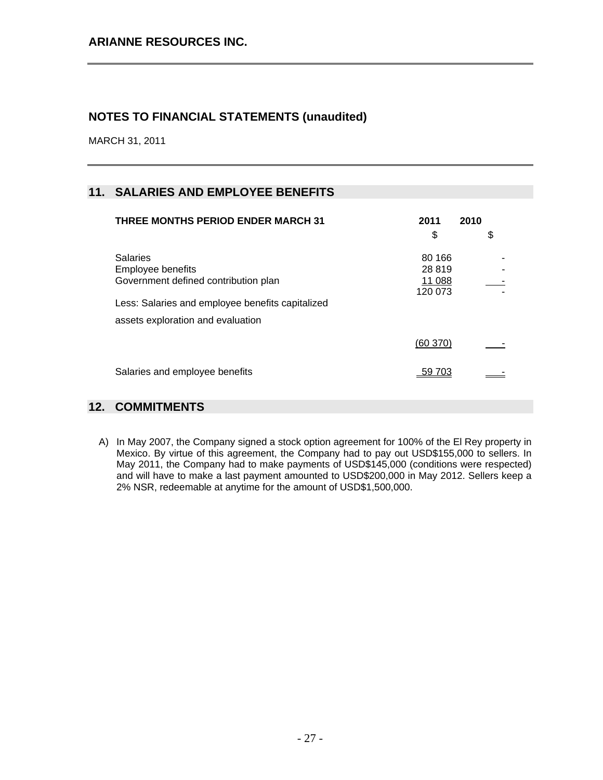MARCH 31, 2011

## **11. SALARIES AND EMPLOYEE BENEFITS**

| <b>THREE MONTHS PERIOD ENDER MARCH 31</b>                                             | 2011                                  | 2010 |
|---------------------------------------------------------------------------------------|---------------------------------------|------|
|                                                                                       | \$                                    | \$   |
| <b>Salaries</b><br>Employee benefits<br>Government defined contribution plan          | 80 166<br>28 819<br>11 088<br>120 073 |      |
| Less: Salaries and employee benefits capitalized<br>assets exploration and evaluation |                                       |      |
|                                                                                       | (60 370)                              |      |
| Salaries and employee benefits                                                        | -59 703                               |      |

## **12. COMMITMENTS**

A) In May 2007, the Company signed a stock option agreement for 100% of the El Rey property in Mexico. By virtue of this agreement, the Company had to pay out USD\$155,000 to sellers. In May 2011, the Company had to make payments of USD\$145,000 (conditions were respected) and will have to make a last payment amounted to USD\$200,000 in May 2012. Sellers keep a 2% NSR, redeemable at anytime for the amount of USD\$1,500,000.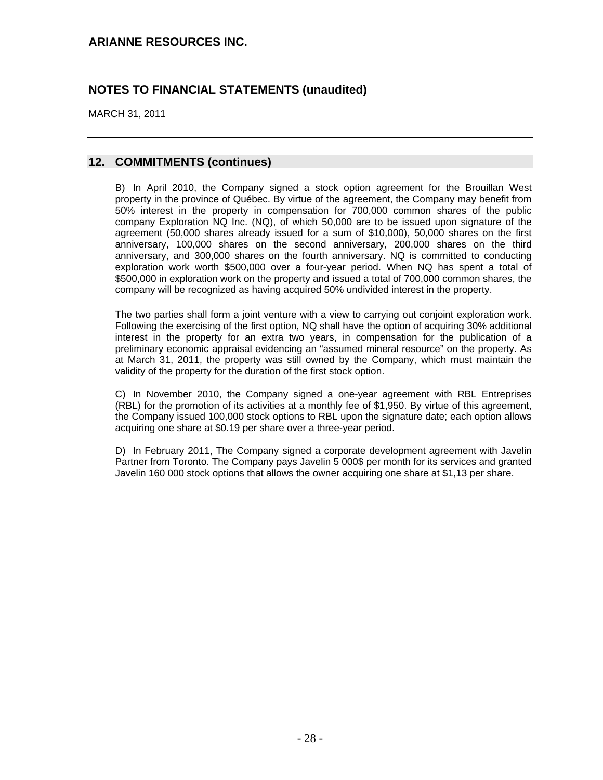MARCH 31, 2011

### **12. COMMITMENTS (continues)**

B) In April 2010, the Company signed a stock option agreement for the Brouillan West property in the province of Québec. By virtue of the agreement, the Company may benefit from 50% interest in the property in compensation for 700,000 common shares of the public company Exploration NQ Inc. (NQ), of which 50,000 are to be issued upon signature of the agreement (50,000 shares already issued for a sum of \$10,000), 50,000 shares on the first anniversary, 100,000 shares on the second anniversary, 200,000 shares on the third anniversary, and 300,000 shares on the fourth anniversary. NQ is committed to conducting exploration work worth \$500,000 over a four-year period. When NQ has spent a total of \$500,000 in exploration work on the property and issued a total of 700,000 common shares, the company will be recognized as having acquired 50% undivided interest in the property.

The two parties shall form a joint venture with a view to carrying out conjoint exploration work. Following the exercising of the first option, NQ shall have the option of acquiring 30% additional interest in the property for an extra two years, in compensation for the publication of a preliminary economic appraisal evidencing an "assumed mineral resource" on the property. As at March 31, 2011, the property was still owned by the Company, which must maintain the validity of the property for the duration of the first stock option.

C) In November 2010, the Company signed a one-year agreement with RBL Entreprises (RBL) for the promotion of its activities at a monthly fee of \$1,950. By virtue of this agreement, the Company issued 100,000 stock options to RBL upon the signature date; each option allows acquiring one share at \$0.19 per share over a three-year period.

D) In February 2011, The Company signed a corporate development agreement with Javelin Partner from Toronto. The Company pays Javelin 5 000\$ per month for its services and granted Javelin 160 000 stock options that allows the owner acquiring one share at \$1,13 per share.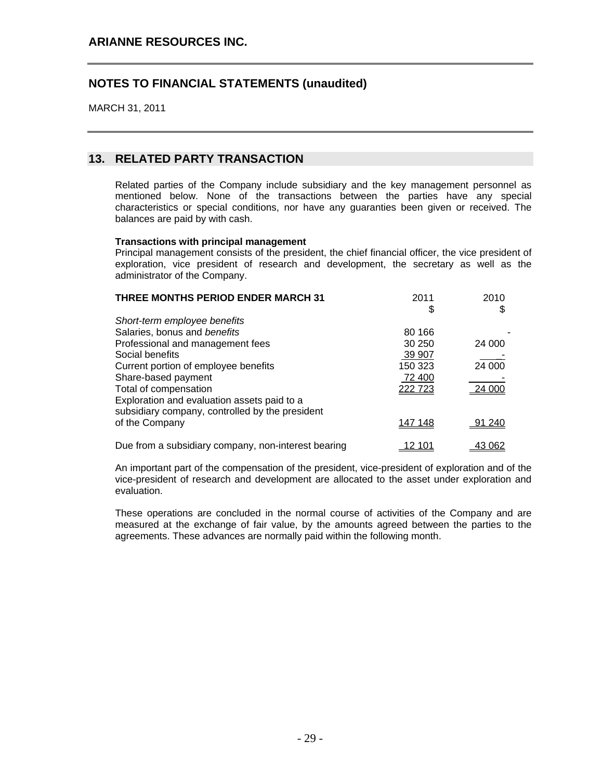MARCH 31, 2011

## **13. RELATED PARTY TRANSACTION**

Related parties of the Company include subsidiary and the key management personnel as mentioned below. None of the transactions between the parties have any special characteristics or special conditions, nor have any guaranties been given or received. The balances are paid by with cash.

#### **Transactions with principal management**

Principal management consists of the president, the chief financial officer, the vice president of exploration, vice president of research and development, the secretary as well as the administrator of the Company.

| <b>THREE MONTHS PERIOD ENDER MARCH 31</b>                                                      | 2011<br>\$ | 2010<br>\$ |
|------------------------------------------------------------------------------------------------|------------|------------|
| Short-term employee benefits                                                                   |            |            |
| Salaries, bonus and benefits                                                                   | 80 166     |            |
| Professional and management fees                                                               | 30 250     | 24 000     |
| Social benefits                                                                                | 39 907     |            |
| Current portion of employee benefits                                                           | 150 323    | 24 000     |
| Share-based payment                                                                            | 72 400     |            |
| Total of compensation                                                                          | 222 723    | 24 000     |
| Exploration and evaluation assets paid to a<br>subsidiary company, controlled by the president |            |            |
| of the Company                                                                                 | 147 148    | 91 240     |
| Due from a subsidiary company, non-interest bearing                                            | 12 101     | 43 062     |

An important part of the compensation of the president, vice-president of exploration and of the vice-president of research and development are allocated to the asset under exploration and evaluation.

These operations are concluded in the normal course of activities of the Company and are measured at the exchange of fair value, by the amounts agreed between the parties to the agreements. These advances are normally paid within the following month.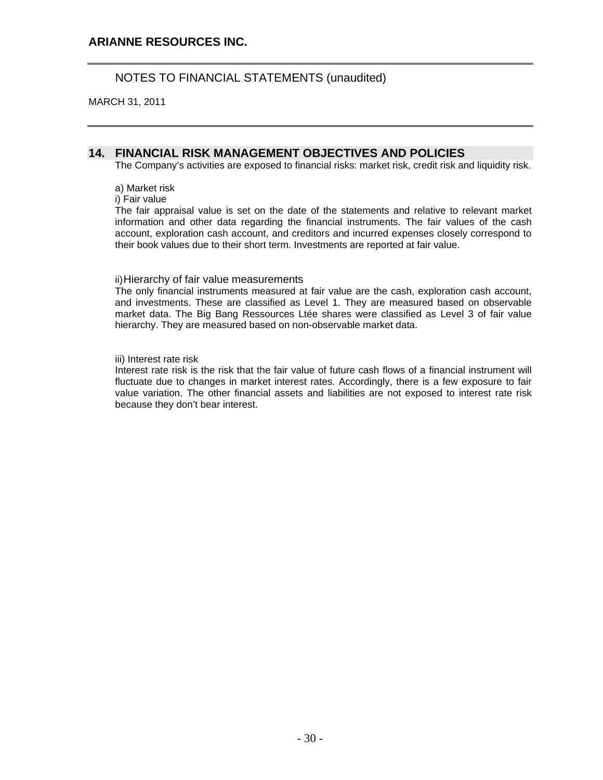MARCH 31, 2011

### **14. FINANCIAL RISK MANAGEMENT OBJECTIVES AND POLICIES**

The Company's activities are exposed to financial risks: market risk, credit risk and liquidity risk.

a) Market risk

i) Fair value

The fair appraisal value is set on the date of the statements and relative to relevant market information and other data regarding the financial instruments. The fair values of the cash account, exploration cash account, and creditors and incurred expenses closely correspond to their book values due to their short term. Investments are reported at fair value.

#### ii) Hierarchy of fair value measurements

The only financial instruments measured at fair value are the cash, exploration cash account, and investments. These are classified as Level 1. They are measured based on observable market data. The Big Bang Ressources Ltée shares were classified as Level 3 of fair value hierarchy. They are measured based on non-observable market data.

iii) Interest rate risk

Interest rate risk is the risk that the fair value of future cash flows of a financial instrument will fluctuate due to changes in market interest rates. Accordingly, there is a few exposure to fair value variation. The other financial assets and liabilities are not exposed to interest rate risk because they don't bear interest.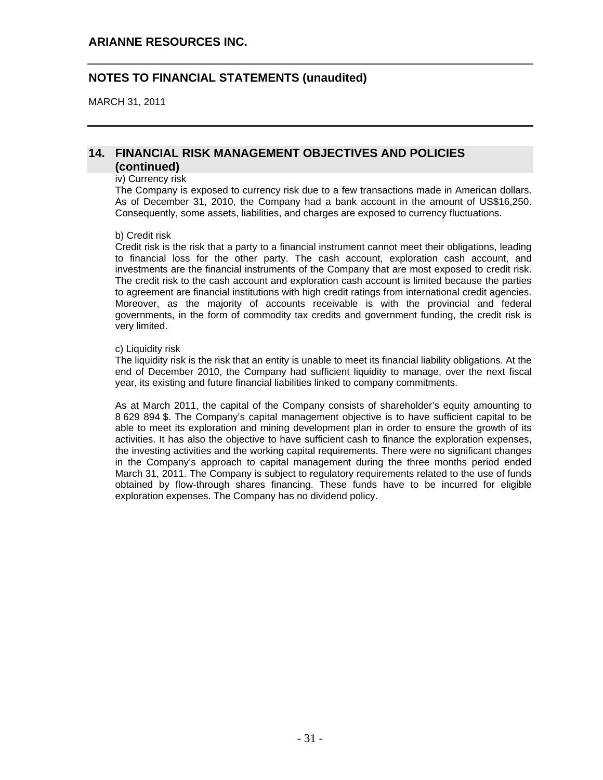MARCH 31, 2011

#### **14. FINANCIAL RISK MANAGEMENT OBJECTIVES AND POLICIES (continued)**

#### iv) Currency risk

The Company is exposed to currency risk due to a few transactions made in American dollars. As of December 31, 2010, the Company had a bank account in the amount of US\$16,250. Consequently, some assets, liabilities, and charges are exposed to currency fluctuations.

#### b) Credit risk

Credit risk is the risk that a party to a financial instrument cannot meet their obligations, leading to financial loss for the other party. The cash account, exploration cash account, and investments are the financial instruments of the Company that are most exposed to credit risk. The credit risk to the cash account and exploration cash account is limited because the parties to agreement are financial institutions with high credit ratings from international credit agencies. Moreover, as the majority of accounts receivable is with the provincial and federal governments, in the form of commodity tax credits and government funding, the credit risk is very limited.

#### c) Liquidity risk

The liquidity risk is the risk that an entity is unable to meet its financial liability obligations. At the end of December 2010, the Company had sufficient liquidity to manage, over the next fiscal year, its existing and future financial liabilities linked to company commitments.

As at March 2011, the capital of the Company consists of shareholder's equity amounting to 8 629 894 \$. The Company's capital management objective is to have sufficient capital to be able to meet its exploration and mining development plan in order to ensure the growth of its activities. It has also the objective to have sufficient cash to finance the exploration expenses, the investing activities and the working capital requirements. There were no significant changes in the Company's approach to capital management during the three months period ended March 31, 2011. The Company is subject to regulatory requirements related to the use of funds obtained by flow-through shares financing. These funds have to be incurred for eligible exploration expenses. The Company has no dividend policy.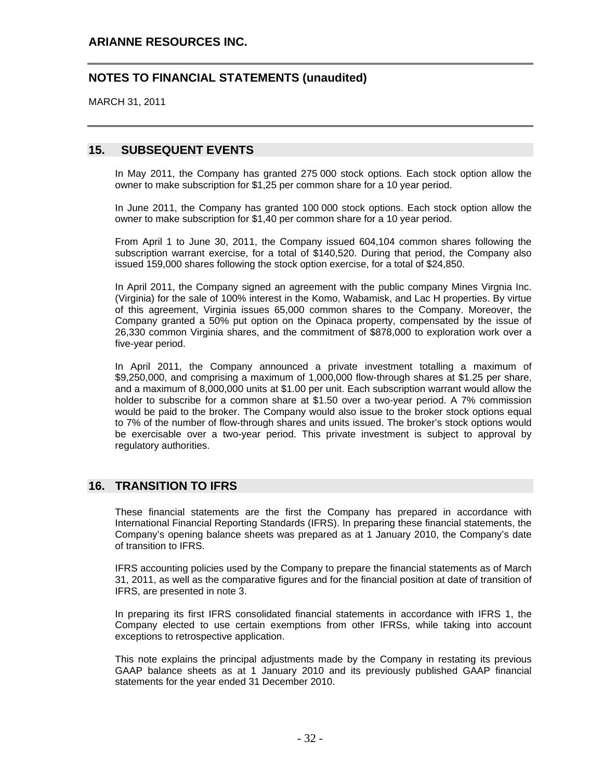MARCH 31, 2011

#### **15. SUBSEQUENT EVENTS**

In May 2011, the Company has granted 275 000 stock options. Each stock option allow the owner to make subscription for \$1,25 per common share for a 10 year period.

In June 2011, the Company has granted 100 000 stock options. Each stock option allow the owner to make subscription for \$1,40 per common share for a 10 year period.

From April 1 to June 30, 2011, the Company issued 604,104 common shares following the subscription warrant exercise, for a total of \$140,520. During that period, the Company also issued 159,000 shares following the stock option exercise, for a total of \$24,850.

In April 2011, the Company signed an agreement with the public company Mines Virgnia Inc. (Virginia) for the sale of 100% interest in the Komo, Wabamisk, and Lac H properties. By virtue of this agreement, Virginia issues 65,000 common shares to the Company. Moreover, the Company granted a 50% put option on the Opinaca property, compensated by the issue of 26,330 common Virginia shares, and the commitment of \$878,000 to exploration work over a five-year period.

In April 2011, the Company announced a private investment totalling a maximum of \$9,250,000, and comprising a maximum of 1,000,000 flow-through shares at \$1.25 per share, and a maximum of 8,000,000 units at \$1.00 per unit. Each subscription warrant would allow the holder to subscribe for a common share at \$1.50 over a two-year period. A 7% commission would be paid to the broker. The Company would also issue to the broker stock options equal to 7% of the number of flow-through shares and units issued. The broker's stock options would be exercisable over a two-year period. This private investment is subject to approval by regulatory authorities.

#### **16. TRANSITION TO IFRS**

These financial statements are the first the Company has prepared in accordance with International Financial Reporting Standards (IFRS). In preparing these financial statements, the Company's opening balance sheets was prepared as at 1 January 2010, the Company's date of transition to IFRS.

IFRS accounting policies used by the Company to prepare the financial statements as of March 31, 2011, as well as the comparative figures and for the financial position at date of transition of IFRS, are presented in note 3.

In preparing its first IFRS consolidated financial statements in accordance with IFRS 1, the Company elected to use certain exemptions from other IFRSs, while taking into account exceptions to retrospective application.

This note explains the principal adjustments made by the Company in restating its previous GAAP balance sheets as at 1 January 2010 and its previously published GAAP financial statements for the year ended 31 December 2010.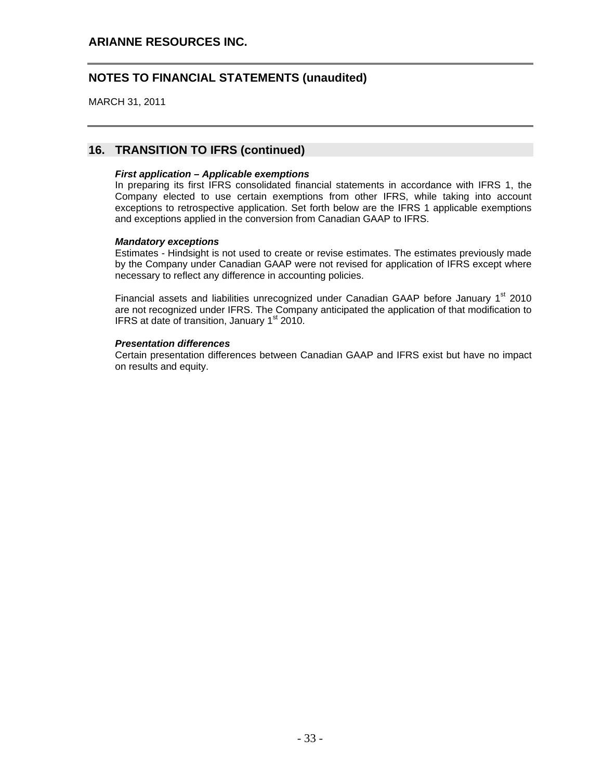MARCH 31, 2011

### **16. TRANSITION TO IFRS (continued)**

#### *First application – Applicable exemptions*

In preparing its first IFRS consolidated financial statements in accordance with IFRS 1, the Company elected to use certain exemptions from other IFRS, while taking into account exceptions to retrospective application. Set forth below are the IFRS 1 applicable exemptions and exceptions applied in the conversion from Canadian GAAP to IFRS.

#### *Mandatory exceptions*

Estimates - Hindsight is not used to create or revise estimates. The estimates previously made by the Company under Canadian GAAP were not revised for application of IFRS except where necessary to reflect any difference in accounting policies.

Financial assets and liabilities unrecognized under Canadian GAAP before January 1<sup>st</sup> 2010 are not recognized under IFRS. The Company anticipated the application of that modification to IFRS at date of transition, January  $1<sup>st</sup>$  2010.

#### *Presentation differences*

Certain presentation differences between Canadian GAAP and IFRS exist but have no impact on results and equity.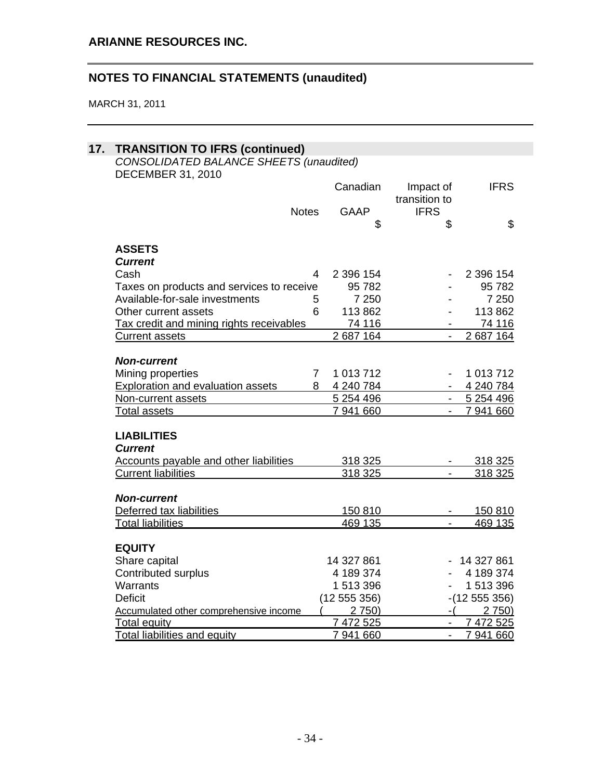| <b>TRANSITION TO IFRS (continued)</b>         |                |                            |               |
|-----------------------------------------------|----------------|----------------------------|---------------|
| CONSOLIDATED BALANCE SHEETS (unaudited)       |                |                            |               |
| <b>DECEMBER 31, 2010</b>                      |                |                            |               |
|                                               | Canadian       | Impact of<br>transition to | <b>IFRS</b>   |
| <b>Notes</b>                                  | <b>GAAP</b>    | <b>IFRS</b>                |               |
|                                               | \$             | \$                         | \$            |
|                                               |                |                            |               |
| <b>ASSETS</b>                                 |                |                            |               |
| <b>Current</b>                                |                |                            |               |
| Cash                                          | 4<br>2 396 154 |                            | 2 396 154     |
| Taxes on products and services to receive     | 95782          |                            | 95 782        |
| Available-for-sale investments                | 7 2 5 0<br>5   |                            | 7 2 5 0       |
| Other current assets                          | 6<br>113 862   | $\overline{\phantom{a}}$   | 113 862       |
| Tax credit and mining rights receivables      | 74 116         |                            | 74 116        |
| <b>Current assets</b>                         | 2687164        |                            | 2 687 164     |
|                                               |                |                            |               |
| <b>Non-current</b>                            |                |                            |               |
| Mining properties                             | 1 013 712<br>7 |                            | 1 013 712     |
| <b>Exploration and evaluation assets</b>      | 8 4 240 784    | $\sim 100$                 | 4 240 784     |
| Non-current assets                            | 5 254 496      | $\sim 10^{-1}$             | 5 254 496     |
| <b>Total assets</b>                           | 7 941 660      |                            | 7 941 660     |
| <b>LIABILITIES</b>                            |                |                            |               |
| <b>Current</b>                                |                |                            |               |
| <b>Accounts payable and other liabilities</b> | 318 325        |                            | 318 325       |
| <b>Current liabilities</b>                    | 318 325        | $\overline{a}$             | 318 325       |
|                                               |                |                            |               |
| <b>Non-current</b>                            |                |                            |               |
| Deferred tax liabilities                      | 150 810        |                            | 150 810       |
| <b>Total liabilities</b>                      | 469 135        |                            | 469 135       |
|                                               |                |                            |               |
| <b>EQUITY</b>                                 |                |                            |               |
| Share capital                                 | 14 327 861     |                            | $-14327861$   |
| Contributed surplus                           | 4 189 374      |                            | 4 189 374     |
| Warrants                                      | 1 513 396      |                            | 1 513 396     |
| <b>Deficit</b>                                | (12 555 356)   |                            | $-(12555356)$ |
| Accumulated other comprehensive income        | 2750           | - (                        | 2 750)        |
| <b>Total equity</b>                           | 7 472 525      |                            | 7 472 525     |
| <b>Total liabilities and equity</b>           | 7 941 660      |                            | 7 941 660     |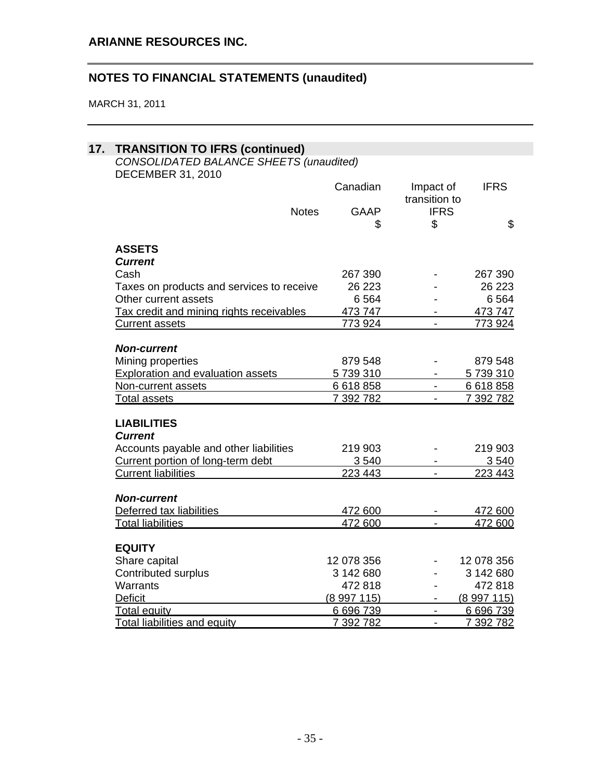| <b>TRANSITION TO IFRS (continued)</b>                         |                             |                          |                    |
|---------------------------------------------------------------|-----------------------------|--------------------------|--------------------|
| CONSOLIDATED BALANCE SHEETS (unaudited)                       |                             |                          |                    |
| <b>DECEMBER 31, 2010</b>                                      |                             |                          |                    |
|                                                               | Canadian                    | Impact of                | <b>IFRS</b>        |
|                                                               |                             | transition to            |                    |
|                                                               | <b>Notes</b><br><b>GAAP</b> | <b>IFRS</b>              |                    |
|                                                               | \$                          | \$                       | \$                 |
| <b>ASSETS</b>                                                 |                             |                          |                    |
| <b>Current</b>                                                |                             |                          |                    |
| Cash                                                          | 267 390                     |                          | 267 390            |
| Taxes on products and services to receive                     | 26 223                      |                          | 26 223             |
| Other current assets                                          | 6564                        |                          | 6564               |
| Tax credit and mining rights receivables                      | 473 747                     |                          | 473 747            |
| <b>Current assets</b>                                         | 773 924                     |                          | 773 924            |
|                                                               |                             |                          |                    |
| <b>Non-current</b>                                            | 879 548                     |                          | 879 548            |
| Mining properties<br><b>Exploration and evaluation assets</b> | 5739310                     |                          | 5739310            |
| Non-current assets                                            | 6 618 858                   | $\blacksquare$           | 6 618 858          |
| Total assets                                                  | 7 392 782                   | $\sim$                   | 7 392 782          |
| <b>LIABILITIES</b>                                            |                             |                          |                    |
| <b>Current</b>                                                |                             |                          |                    |
| Accounts payable and other liabilities                        | 219 903                     |                          | 219 903            |
| Current portion of long-term debt                             | 3 5 4 0                     |                          |                    |
| <b>Current liabilities</b>                                    | 223 443                     |                          | 3 5 4 0<br>223 443 |
|                                                               |                             |                          |                    |
| <b>Non-current</b>                                            |                             |                          |                    |
| Deferred tax liabilities                                      | 472 600                     |                          | 472 600            |
| <b>Total liabilities</b>                                      | 472 600                     |                          | 472 600            |
| <b>EQUITY</b>                                                 |                             |                          |                    |
| Share capital                                                 | 12 078 356                  |                          | 12 078 356         |
| Contributed surplus                                           | 3 142 680                   |                          | 3 142 680          |
| Warrants                                                      | 472 818                     |                          | 472 818            |
| <b>Deficit</b>                                                | (8997115)                   | $\blacksquare$           | (8997115)          |
| <b>Total equity</b>                                           | 6696739                     | $\overline{\phantom{0}}$ | 6 696 739          |
| Total liabilities and equity                                  | 7 392 782                   | $\blacksquare$           | 7 392 782          |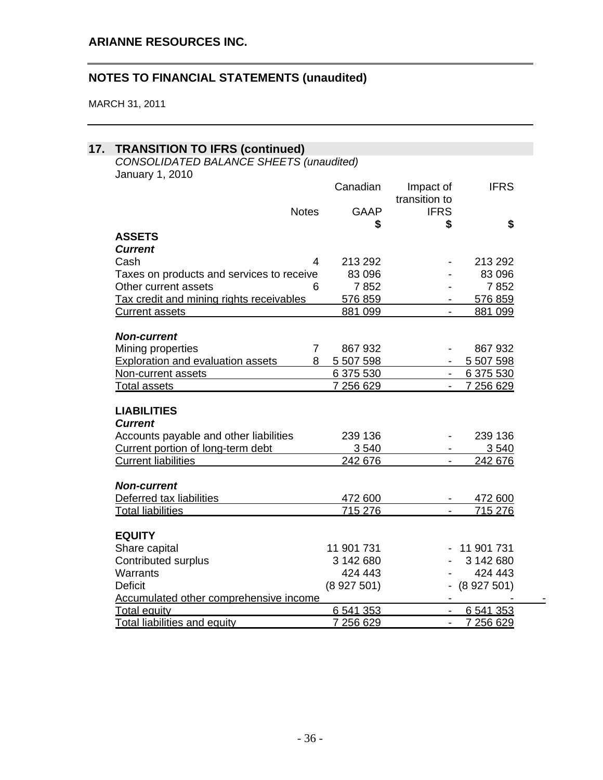| <b>TRANSITION TO IFRS (continued)</b>     |                |                          |                 |
|-------------------------------------------|----------------|--------------------------|-----------------|
| CONSOLIDATED BALANCE SHEETS (unaudited)   |                |                          |                 |
| January 1, 2010                           |                |                          |                 |
|                                           | Canadian       | Impact of                | <b>IFRS</b>     |
|                                           |                | transition to            |                 |
| <b>Notes</b>                              | <b>GAAP</b>    | <b>IFRS</b>              |                 |
|                                           | \$             | \$                       | \$              |
| <b>ASSETS</b>                             |                |                          |                 |
| <b>Current</b>                            |                |                          |                 |
| Cash                                      | 4<br>213 292   |                          | 213 292         |
| Taxes on products and services to receive | 83 096         | $\overline{\phantom{a}}$ | 83 096          |
| Other current assets                      | 7852<br>6      |                          | 7852            |
| Tax credit and mining rights receivables  | 576 859        |                          | 576 859         |
| <b>Current assets</b>                     | 881 099        |                          | 881 099         |
| <b>Non-current</b>                        |                |                          |                 |
| Mining properties                         | 867 932<br>7   | $\blacksquare$           | 867932          |
|                                           | 5 507 598<br>8 |                          | 5 507 598       |
| <b>Exploration and evaluation assets</b>  | 6 375 530      | $\sim 100$               | 6 375 530       |
| Non-current assets                        | 7 256 629      | $\sim 100$               | 7 256 629       |
| <b>Total assets</b>                       |                | $\sim$ 10 $\pm$          |                 |
| <b>LIABILITIES</b>                        |                |                          |                 |
| <b>Current</b>                            |                |                          |                 |
| Accounts payable and other liabilities    | 239 136        |                          | 239 136         |
| Current portion of long-term debt         | 3540           |                          | 3 5 4 0         |
| <b>Current liabilities</b>                | 242 676        |                          | 242 676         |
|                                           |                |                          |                 |
| <b>Non-current</b>                        |                |                          |                 |
| Deferred tax liabilities                  | 472 600        |                          | 472 600         |
| <b>Total liabilities</b>                  | 715 276        | $\sim$                   | 715 276         |
| <b>EQUITY</b>                             |                |                          |                 |
| Share capital                             | 11 901 731     |                          | $-11901731$     |
| <b>Contributed surplus</b>                | 3 142 680      |                          | 3 142 680       |
| Warrants                                  | 424 443        |                          | 424 443         |
| <b>Deficit</b>                            | (8927501)      |                          | $-$ (8 927 501) |
| Accumulated other comprehensive income    |                | $\overline{\phantom{a}}$ |                 |
| <b>Total equity</b>                       | 6 541 353      |                          | 6 541 353       |
| <b>Total liabilities and equity</b>       | 7 256 629      |                          | 7 256 629       |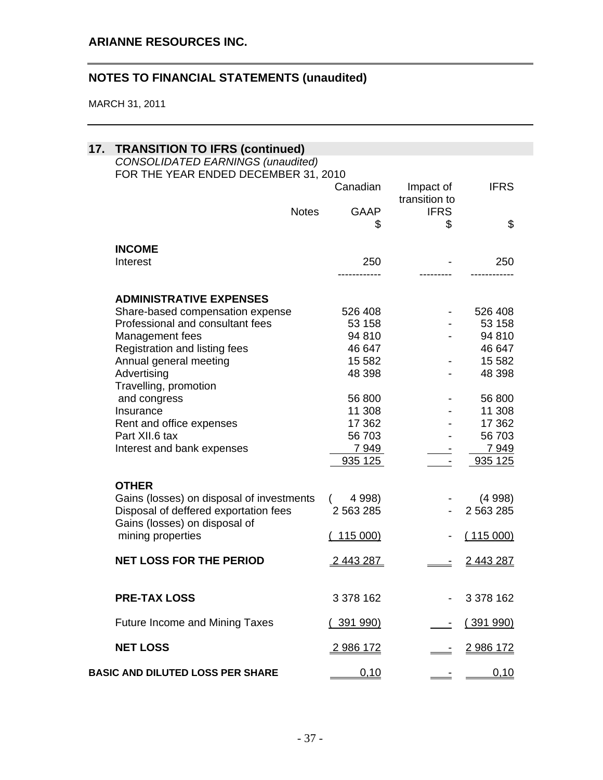| 17. | <b>TRANSITION TO IFRS (continued)</b><br><b>CONSOLIDATED EARNINGS (unaudited)</b><br>FOR THE YEAR ENDED DECEMBER 31, 2010 |                  |                            |                |  |  |
|-----|---------------------------------------------------------------------------------------------------------------------------|------------------|----------------------------|----------------|--|--|
|     |                                                                                                                           | Canadian         | Impact of<br>transition to | <b>IFRS</b>    |  |  |
|     | <b>Notes</b>                                                                                                              | GAAP<br>\$       | <b>IFRS</b><br>\$          | \$             |  |  |
|     |                                                                                                                           |                  |                            |                |  |  |
|     | <b>INCOME</b>                                                                                                             |                  |                            |                |  |  |
|     | Interest                                                                                                                  | 250              |                            | 250            |  |  |
|     |                                                                                                                           |                  |                            |                |  |  |
|     | <b>ADMINISTRATIVE EXPENSES</b>                                                                                            |                  |                            |                |  |  |
|     | Share-based compensation expense                                                                                          | 526 408          |                            | 526 408        |  |  |
|     | Professional and consultant fees                                                                                          | 53 158           |                            | 53 158         |  |  |
|     | Management fees                                                                                                           | 94 810           |                            | 94 810         |  |  |
|     | Registration and listing fees                                                                                             | 46 647           |                            | 46 647         |  |  |
|     | Annual general meeting                                                                                                    | 15 5 82          |                            | 15 5 82        |  |  |
|     | Advertising<br>Travelling, promotion                                                                                      | 48 398           |                            | 48 398         |  |  |
|     | and congress                                                                                                              | 56 800           |                            | 56 800         |  |  |
|     | Insurance                                                                                                                 | 11 308           |                            | 11 308         |  |  |
|     | Rent and office expenses                                                                                                  | 17 362           |                            | 17 362         |  |  |
|     | Part XII.6 tax                                                                                                            | 56 703           |                            | 56 703         |  |  |
|     | Interest and bank expenses                                                                                                | 7949             |                            | 7 9 4 9        |  |  |
|     |                                                                                                                           | 935 125          |                            | 935 125        |  |  |
|     | <b>OTHER</b>                                                                                                              |                  |                            |                |  |  |
|     | Gains (losses) on disposal of investments                                                                                 | 4 9 98)          |                            | (4998)         |  |  |
|     | Disposal of deffered exportation fees<br>Gains (losses) on disposal of                                                    | 2 5 6 3 2 8 5    |                            | 2 563 285      |  |  |
|     | mining properties                                                                                                         | 115 000)         |                            | (115000)       |  |  |
|     | <b>NET LOSS FOR THE PERIOD</b>                                                                                            | 2 443 287        |                            | <u>2443287</u> |  |  |
|     | <b>PRE-TAX LOSS</b>                                                                                                       | 3 378 162        |                            | 3 378 162      |  |  |
|     | <b>Future Income and Mining Taxes</b>                                                                                     | <u>(391 990)</u> |                            | (391990)       |  |  |
|     | <b>NET LOSS</b>                                                                                                           | <u>2986172</u>   |                            | <u>2986172</u> |  |  |
|     | <b>BASIC AND DILUTED LOSS PER SHARE</b>                                                                                   | 0,10             |                            | 0,10           |  |  |